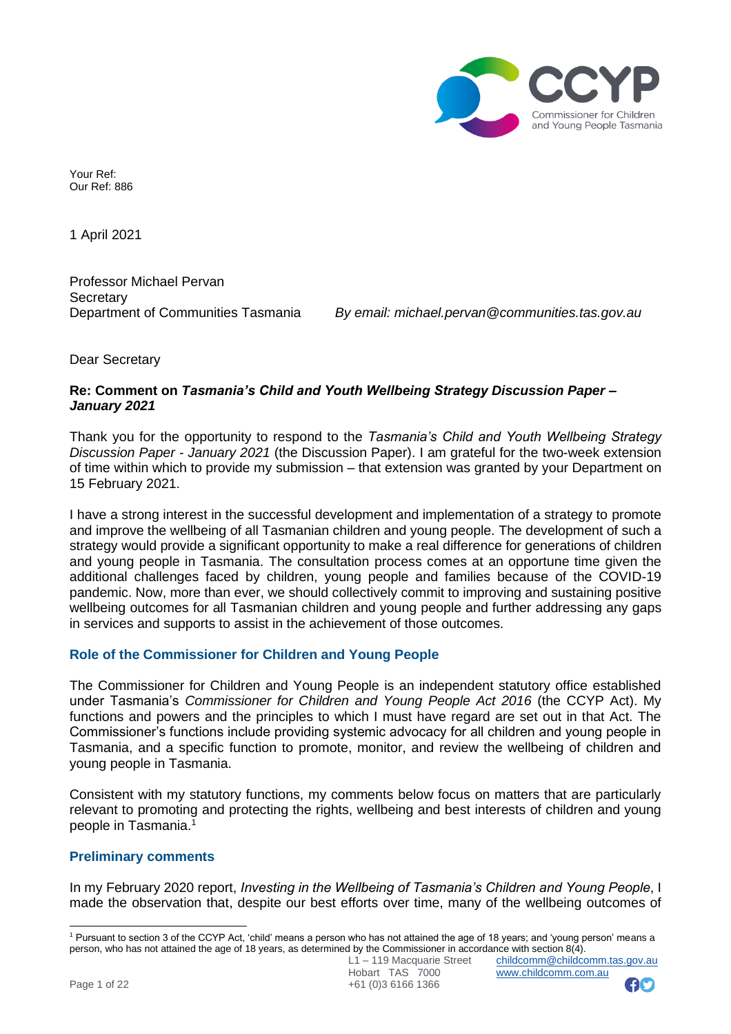

Your Ref: Our Ref: 886

1 April 2021

Professor Michael Pervan **Secretary** 

Department of Communities Tasmania *By email: [michael.pervan@communities.tas.gov.au](mailto:michael.pervan@communities.tas.gov.au)*

Dear Secretary

## **Re: Comment on** *Tasmania's Child and Youth Wellbeing Strategy Discussion Paper – January 2021*

Thank you for the opportunity to respond to the *Tasmania's Child and Youth Wellbeing Strategy Discussion Paper - January 2021* (the Discussion Paper). I am grateful for the two-week extension of time within which to provide my submission – that extension was granted by your Department on 15 February 2021.

I have a strong interest in the successful development and implementation of a strategy to promote and improve the wellbeing of all Tasmanian children and young people. The development of such a strategy would provide a significant opportunity to make a real difference for generations of children and young people in Tasmania. The consultation process comes at an opportune time given the additional challenges faced by children, young people and families because of the COVID-19 pandemic. Now, more than ever, we should collectively commit to improving and sustaining positive wellbeing outcomes for all Tasmanian children and young people and further addressing any gaps in services and supports to assist in the achievement of those outcomes.

# **Role of the Commissioner for Children and Young People**

The Commissioner for Children and Young People is an independent statutory office established under Tasmania's *Commissioner for Children and Young People Act 2016* (the CCYP Act). My functions and powers and the principles to which I must have regard are set out in that Act. The Commissioner's functions include providing systemic advocacy for all children and young people in Tasmania, and a specific function to promote, monitor, and review the wellbeing of children and young people in Tasmania.

Consistent with my statutory functions, my comments below focus on matters that are particularly relevant to promoting and protecting the rights, wellbeing and best interests of children and young people in Tasmania.<sup>1</sup>

# **Preliminary comments**

In my February 2020 report, *Investing in the Wellbeing of Tasmania's Children and Young People*, I made the observation that, despite our best efforts over time, many of the wellbeing outcomes of



<sup>1</sup> Pursuant to section 3 of the CCYP Act, 'child' means a person who has not attained the age of 18 years; and 'young person' means a person, who has not attained the age of 18 years, as determined by the Commissioner in accordance with section 8(4).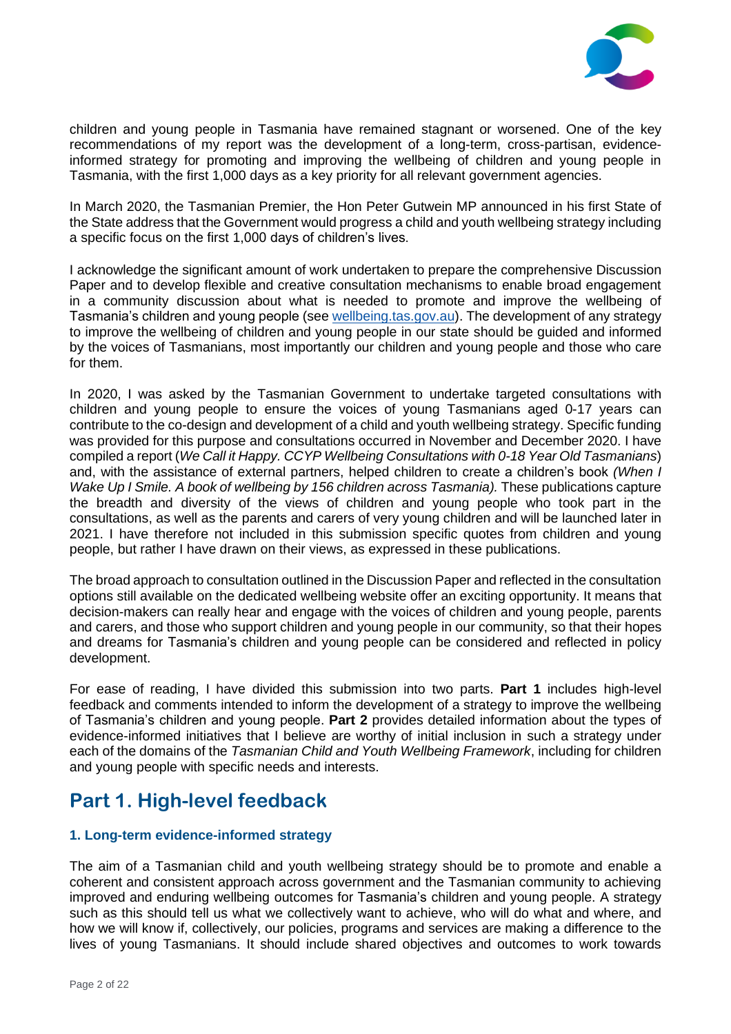

children and young people in Tasmania have remained stagnant or worsened. One of the key recommendations of my report was the development of a long-term, cross-partisan, evidenceinformed strategy for promoting and improving the wellbeing of children and young people in Tasmania, with the first 1,000 days as a key priority for all relevant government agencies.

In March 2020, the Tasmanian Premier, the Hon Peter Gutwein MP announced in his first State of the State address that the Government would progress a child and youth wellbeing strategy including a specific focus on the first 1,000 days of children's lives.

I acknowledge the significant amount of work undertaken to prepare the comprehensive Discussion Paper and to develop flexible and creative consultation mechanisms to enable broad engagement in a community discussion about what is needed to promote and improve the wellbeing of Tasmania's children and young people (see [wellbeing.tas.gov.au\)](https://wellbeing.tas.gov.au/). The development of any strategy to improve the wellbeing of children and young people in our state should be guided and informed by the voices of Tasmanians, most importantly our children and young people and those who care for them.

In 2020, I was asked by the Tasmanian Government to undertake targeted consultations with children and young people to ensure the voices of young Tasmanians aged 0-17 years can contribute to the co-design and development of a child and youth wellbeing strategy. Specific funding was provided for this purpose and consultations occurred in November and December 2020. I have compiled a report (*We Call it Happy. CCYP Wellbeing Consultations with 0-18 Year Old Tasmanians*) and, with the assistance of external partners, helped children to create a children's book *(When I Wake Up I Smile. A book of wellbeing by 156 children across Tasmania).* These publications capture the breadth and diversity of the views of children and young people who took part in the consultations, as well as the parents and carers of very young children and will be launched later in 2021. I have therefore not included in this submission specific quotes from children and young people, but rather I have drawn on their views, as expressed in these publications.

The broad approach to consultation outlined in the Discussion Paper and reflected in the consultation options still available on the dedicated wellbeing website offer an exciting opportunity. It means that decision-makers can really hear and engage with the voices of children and young people, parents and carers, and those who support children and young people in our community, so that their hopes and dreams for Tasmania's children and young people can be considered and reflected in policy development.

For ease of reading, I have divided this submission into two parts. **Part 1** includes high-level feedback and comments intended to inform the development of a strategy to improve the wellbeing of Tasmania's children and young people. **Part 2** provides detailed information about the types of evidence-informed initiatives that I believe are worthy of initial inclusion in such a strategy under each of the domains of the *Tasmanian Child and Youth Wellbeing Framework*, including for children and young people with specific needs and interests.

# **Part 1. High-level feedback**

# **1. Long-term evidence-informed strategy**

The aim of a Tasmanian child and youth wellbeing strategy should be to promote and enable a coherent and consistent approach across government and the Tasmanian community to achieving improved and enduring wellbeing outcomes for Tasmania's children and young people. A strategy such as this should tell us what we collectively want to achieve, who will do what and where, and how we will know if, collectively, our policies, programs and services are making a difference to the lives of young Tasmanians. It should include shared objectives and outcomes to work towards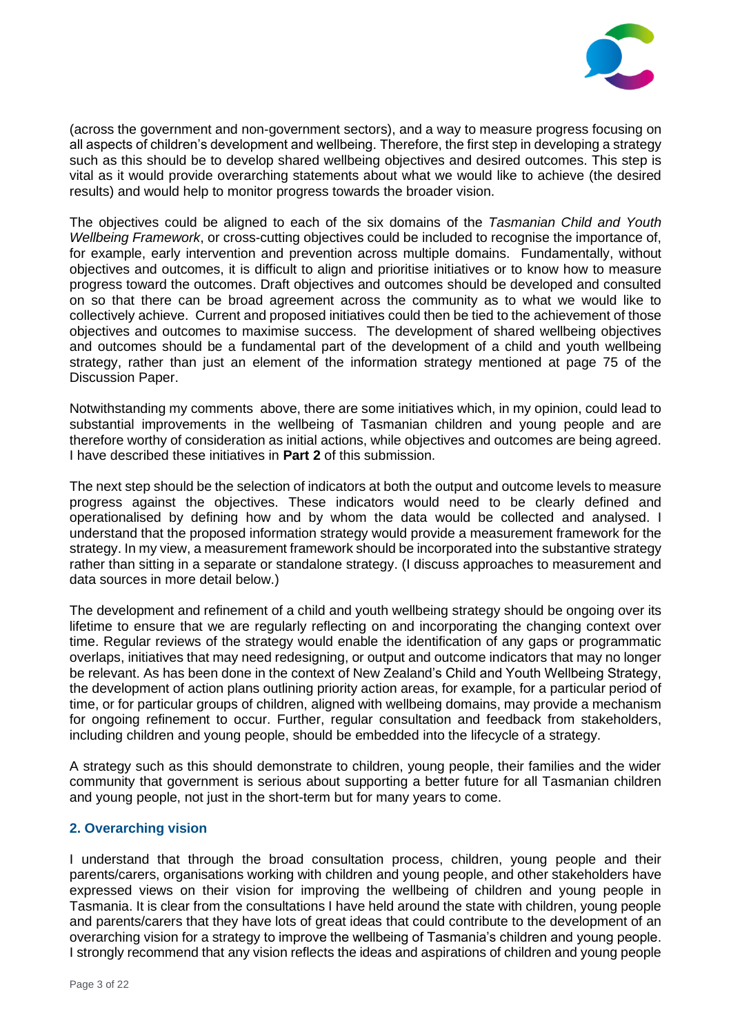

(across the government and non-government sectors), and a way to measure progress focusing on all aspects of children's development and wellbeing. Therefore, the first step in developing a strategy such as this should be to develop shared wellbeing objectives and desired outcomes. This step is vital as it would provide overarching statements about what we would like to achieve (the desired results) and would help to monitor progress towards the broader vision.

The objectives could be aligned to each of the six domains of the *Tasmanian Child and Youth Wellbeing Framework*, or cross-cutting objectives could be included to recognise the importance of, for example, early intervention and prevention across multiple domains. Fundamentally, without objectives and outcomes, it is difficult to align and prioritise initiatives or to know how to measure progress toward the outcomes. Draft objectives and outcomes should be developed and consulted on so that there can be broad agreement across the community as to what we would like to collectively achieve. Current and proposed initiatives could then be tied to the achievement of those objectives and outcomes to maximise success. The development of shared wellbeing objectives and outcomes should be a fundamental part of the development of a child and youth wellbeing strategy, rather than just an element of the information strategy mentioned at page 75 of the Discussion Paper.

Notwithstanding my comments above, there are some initiatives which, in my opinion, could lead to substantial improvements in the wellbeing of Tasmanian children and young people and are therefore worthy of consideration as initial actions, while objectives and outcomes are being agreed. I have described these initiatives in **Part 2** of this submission.

The next step should be the selection of indicators at both the output and outcome levels to measure progress against the objectives. These indicators would need to be clearly defined and operationalised by defining how and by whom the data would be collected and analysed. I understand that the proposed information strategy would provide a measurement framework for the strategy. In my view, a measurement framework should be incorporated into the substantive strategy rather than sitting in a separate or standalone strategy. (I discuss approaches to measurement and data sources in more detail below.)

The development and refinement of a child and youth wellbeing strategy should be ongoing over its lifetime to ensure that we are regularly reflecting on and incorporating the changing context over time. Regular reviews of the strategy would enable the identification of any gaps or programmatic overlaps, initiatives that may need redesigning, or output and outcome indicators that may no longer be relevant. As has been done in the context of New Zealand's Child and Youth Wellbeing Strategy, the development of action plans outlining priority action areas, for example, for a particular period of time, or for particular groups of children, aligned with wellbeing domains, may provide a mechanism for ongoing refinement to occur. Further, regular consultation and feedback from stakeholders, including children and young people, should be embedded into the lifecycle of a strategy.

A strategy such as this should demonstrate to children, young people, their families and the wider community that government is serious about supporting a better future for all Tasmanian children and young people, not just in the short-term but for many years to come.

# **2. Overarching vision**

I understand that through the broad consultation process, children, young people and their parents/carers, organisations working with children and young people, and other stakeholders have expressed views on their vision for improving the wellbeing of children and young people in Tasmania. It is clear from the consultations I have held around the state with children, young people and parents/carers that they have lots of great ideas that could contribute to the development of an overarching vision for a strategy to improve the wellbeing of Tasmania's children and young people. I strongly recommend that any vision reflects the ideas and aspirations of children and young people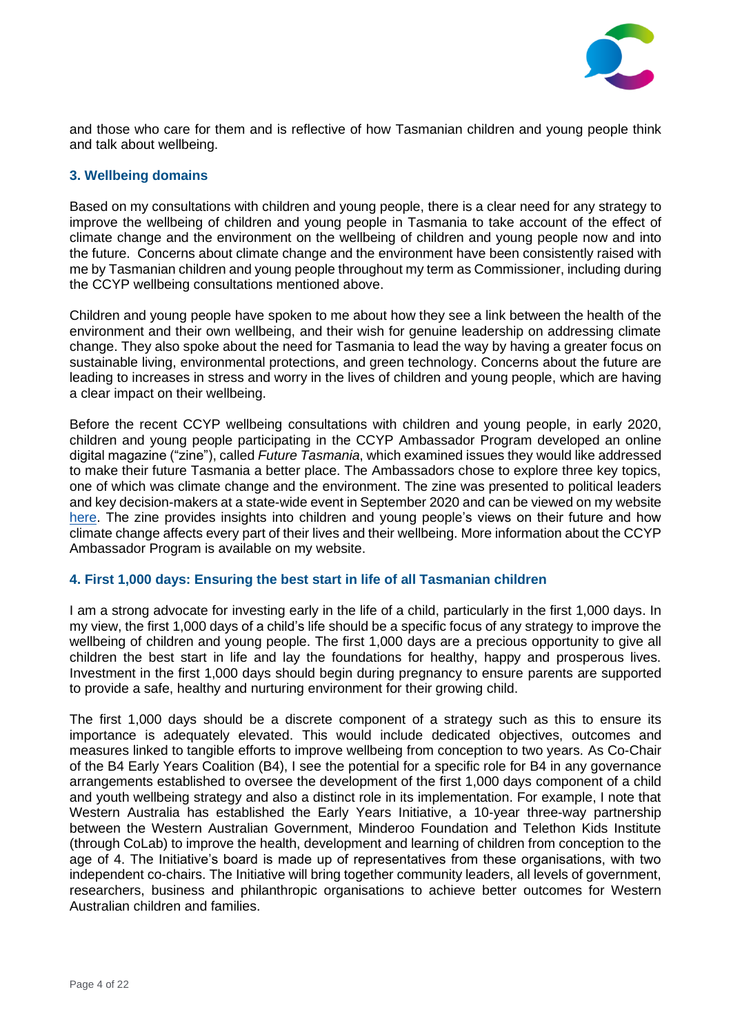

and those who care for them and is reflective of how Tasmanian children and young people think and talk about wellbeing.

# **3. Wellbeing domains**

Based on my consultations with children and young people, there is a clear need for any strategy to improve the wellbeing of children and young people in Tasmania to take account of the effect of climate change and the environment on the wellbeing of children and young people now and into the future. Concerns about climate change and the environment have been consistently raised with me by Tasmanian children and young people throughout my term as Commissioner, including during the CCYP wellbeing consultations mentioned above.

Children and young people have spoken to me about how they see a link between the health of the environment and their own wellbeing, and their wish for genuine leadership on addressing climate change. They also spoke about the need for Tasmania to lead the way by having a greater focus on sustainable living, environmental protections, and green technology. Concerns about the future are leading to increases in stress and worry in the lives of children and young people, which are having a clear impact on their wellbeing.

Before the recent CCYP wellbeing consultations with children and young people, in early 2020, children and young people participating in the CCYP Ambassador Program developed an online digital magazine ("zine"), called *Future Tasmania*, which examined issues they would like addressed to make their future Tasmania a better place. The Ambassadors chose to explore three key topics, one of which was climate change and the environment. The zine was presented to political leaders and key decision-makers at a state-wide event in September 2020 and can be viewed on my website [here.](https://zine2020.childcomm.tas.gov.au/) The zine provides insights into children and young people's views on their future and how climate change affects every part of their lives and their wellbeing. More information about the CCYP Ambassador Program is available on my website.

# **4. First 1,000 days: Ensuring the best start in life of all Tasmanian children**

I am a strong advocate for investing early in the life of a child, particularly in the first 1,000 days. In my view, the first 1,000 days of a child's life should be a specific focus of any strategy to improve the wellbeing of children and young people. The first 1,000 days are a precious opportunity to give all children the best start in life and lay the foundations for healthy, happy and prosperous lives. Investment in the first 1,000 days should begin during pregnancy to ensure parents are supported to provide a safe, healthy and nurturing environment for their growing child.

The first 1,000 days should be a discrete component of a strategy such as this to ensure its importance is adequately elevated. This would include dedicated objectives, outcomes and measures linked to tangible efforts to improve wellbeing from conception to two years. As Co-Chair of the B4 Early Years Coalition (B4), I see the potential for a specific role for B4 in any governance arrangements established to oversee the development of the first 1,000 days component of a child and youth wellbeing strategy and also a distinct role in its implementation. For example, I note that Western Australia has established the Early Years Initiative, a 10-year three-way partnership between the Western Australian Government, Minderoo Foundation and Telethon Kids Institute (through CoLab) to improve the health, development and learning of children from conception to the age of 4. The Initiative's board is made up of representatives from these organisations, with two independent co-chairs. The Initiative will bring together community leaders, all levels of government, researchers, business and philanthropic organisations to achieve better outcomes for Western Australian children and families.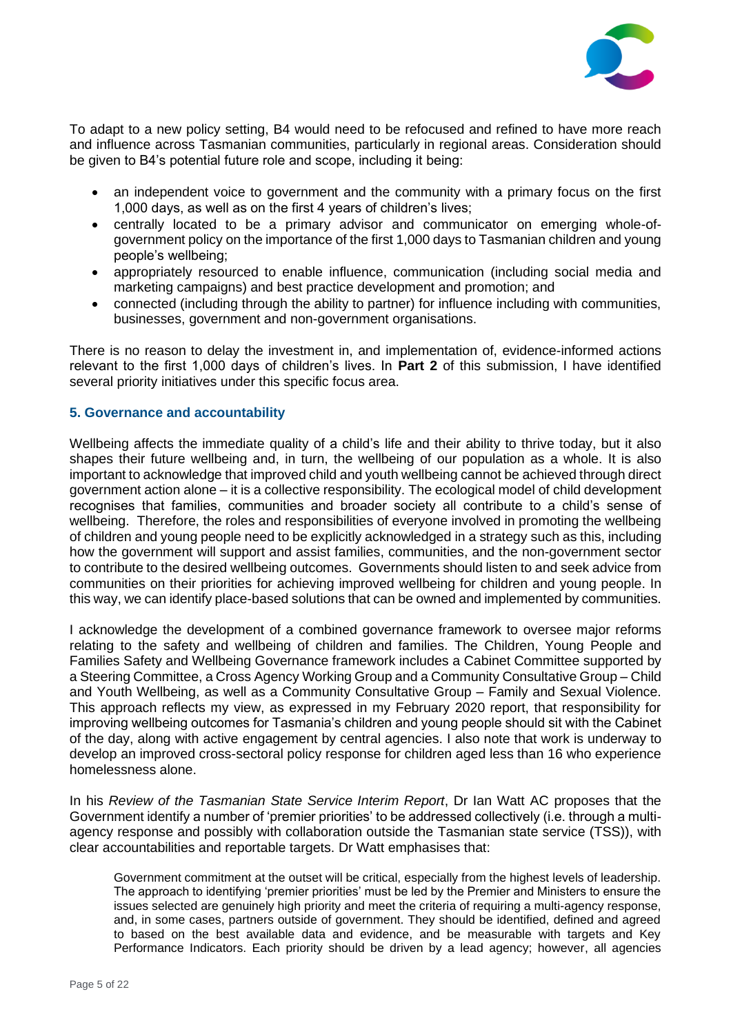

To adapt to a new policy setting, B4 would need to be refocused and refined to have more reach and influence across Tasmanian communities, particularly in regional areas. Consideration should be given to B4's potential future role and scope, including it being:

- an independent voice to government and the community with a primary focus on the first 1,000 days, as well as on the first 4 years of children's lives;
- centrally located to be a primary advisor and communicator on emerging whole-ofgovernment policy on the importance of the first 1,000 days to Tasmanian children and young people's wellbeing;
- appropriately resourced to enable influence, communication (including social media and marketing campaigns) and best practice development and promotion; and
- connected (including through the ability to partner) for influence including with communities, businesses, government and non-government organisations.

There is no reason to delay the investment in, and implementation of, evidence-informed actions relevant to the first 1,000 days of children's lives. In **Part 2** of this submission, I have identified several priority initiatives under this specific focus area.

# **5. Governance and accountability**

Wellbeing affects the immediate quality of a child's life and their ability to thrive today, but it also shapes their future wellbeing and, in turn, the wellbeing of our population as a whole. It is also important to acknowledge that improved child and youth wellbeing cannot be achieved through direct government action alone – it is a collective responsibility. The ecological model of child development recognises that families, communities and broader society all contribute to a child's sense of wellbeing. Therefore, the roles and responsibilities of everyone involved in promoting the wellbeing of children and young people need to be explicitly acknowledged in a strategy such as this, including how the government will support and assist families, communities, and the non-government sector to contribute to the desired wellbeing outcomes. Governments should listen to and seek advice from communities on their priorities for achieving improved wellbeing for children and young people. In this way, we can identify place-based solutions that can be owned and implemented by communities.

I acknowledge the development of a combined governance framework to oversee major reforms relating to the safety and wellbeing of children and families. The Children, Young People and Families Safety and Wellbeing Governance framework includes a Cabinet Committee supported by a Steering Committee, a Cross Agency Working Group and a Community Consultative Group – Child and Youth Wellbeing, as well as a Community Consultative Group – Family and Sexual Violence. This approach reflects my view, as expressed in my February 2020 report, that responsibility for improving wellbeing outcomes for Tasmania's children and young people should sit with the Cabinet of the day, along with active engagement by central agencies. I also note that work is underway to develop an improved cross-sectoral policy response for children aged less than 16 who experience homelessness alone.

In his *Review of the Tasmanian State Service Interim Report*, Dr Ian Watt AC proposes that the Government identify a number of 'premier priorities' to be addressed collectively (i.e. through a multiagency response and possibly with collaboration outside the Tasmanian state service (TSS)), with clear accountabilities and reportable targets. Dr Watt emphasises that:

Government commitment at the outset will be critical, especially from the highest levels of leadership. The approach to identifying 'premier priorities' must be led by the Premier and Ministers to ensure the issues selected are genuinely high priority and meet the criteria of requiring a multi-agency response, and, in some cases, partners outside of government. They should be identified, defined and agreed to based on the best available data and evidence, and be measurable with targets and Key Performance Indicators. Each priority should be driven by a lead agency; however, all agencies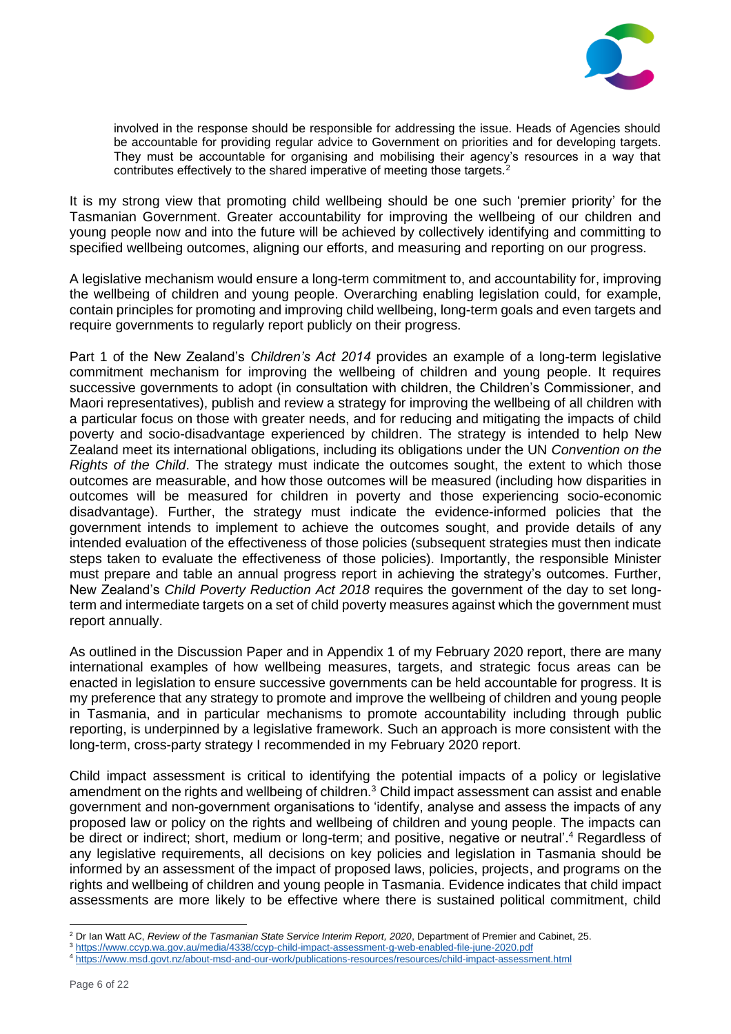

involved in the response should be responsible for addressing the issue. Heads of Agencies should be accountable for providing regular advice to Government on priorities and for developing targets. They must be accountable for organising and mobilising their agency's resources in a way that contributes effectively to the shared imperative of meeting those targets.<sup>2</sup>

It is my strong view that promoting child wellbeing should be one such 'premier priority' for the Tasmanian Government. Greater accountability for improving the wellbeing of our children and young people now and into the future will be achieved by collectively identifying and committing to specified wellbeing outcomes, aligning our efforts, and measuring and reporting on our progress.

A legislative mechanism would ensure a long-term commitment to, and accountability for, improving the wellbeing of children and young people. Overarching enabling legislation could, for example, contain principles for promoting and improving child wellbeing, long-term goals and even targets and require governments to regularly report publicly on their progress.

Part 1 of the New Zealand's *Children's Act 2014* provides an example of a long-term legislative commitment mechanism for improving the wellbeing of children and young people. It requires successive governments to adopt (in consultation with children, the Children's Commissioner, and Maori representatives), publish and review a strategy for improving the wellbeing of all children with a particular focus on those with greater needs, and for reducing and mitigating the impacts of child poverty and socio-disadvantage experienced by children. The strategy is intended to help New Zealand meet its international obligations, including its obligations under the UN *Convention on the Rights of the Child*. The strategy must indicate the outcomes sought, the extent to which those outcomes are measurable, and how those outcomes will be measured (including how disparities in outcomes will be measured for children in poverty and those experiencing socio-economic disadvantage). Further, the strategy must indicate the evidence-informed policies that the government intends to implement to achieve the outcomes sought, and provide details of any intended evaluation of the effectiveness of those policies (subsequent strategies must then indicate steps taken to evaluate the effectiveness of those policies). Importantly, the responsible Minister must prepare and table an annual progress report in achieving the strategy's outcomes. Further, New Zealand's *Child Poverty Reduction Act 2018* requires the government of the day to set longterm and intermediate targets on a set of child poverty measures against which the government must report annually.

As outlined in the Discussion Paper and in Appendix 1 of my February 2020 report, there are many international examples of how wellbeing measures, targets, and strategic focus areas can be enacted in legislation to ensure successive governments can be held accountable for progress. It is my preference that any strategy to promote and improve the wellbeing of children and young people in Tasmania, and in particular mechanisms to promote accountability including through public reporting, is underpinned by a legislative framework. Such an approach is more consistent with the long-term, cross-party strategy I recommended in my February 2020 report.

Child impact assessment is critical to identifying the potential impacts of a policy or legislative amendment on the rights and wellbeing of children.<sup>3</sup> Child impact assessment can assist and enable government and non-government organisations to 'identify, analyse and assess the impacts of any proposed law or policy on the rights and wellbeing of children and young people. The impacts can be direct or indirect; short, medium or long-term; and positive, negative or neutral'. <sup>4</sup> Regardless of any legislative requirements, all decisions on key policies and legislation in Tasmania should be informed by an assessment of the impact of proposed laws, policies, projects, and programs on the rights and wellbeing of children and young people in Tasmania. Evidence indicates that child impact assessments are more likely to be effective where there is sustained political commitment, child

<sup>2</sup> Dr Ian Watt AC, *Review of the Tasmanian State Service Interim Report, 2020*, Department of Premier and Cabinet, 25.

<sup>3</sup> <https://www.ccyp.wa.gov.au/media/4338/ccyp-child-impact-assessment-g-web-enabled-file-june-2020.pdf>

<sup>4</sup> <https://www.msd.govt.nz/about-msd-and-our-work/publications-resources/resources/child-impact-assessment.html>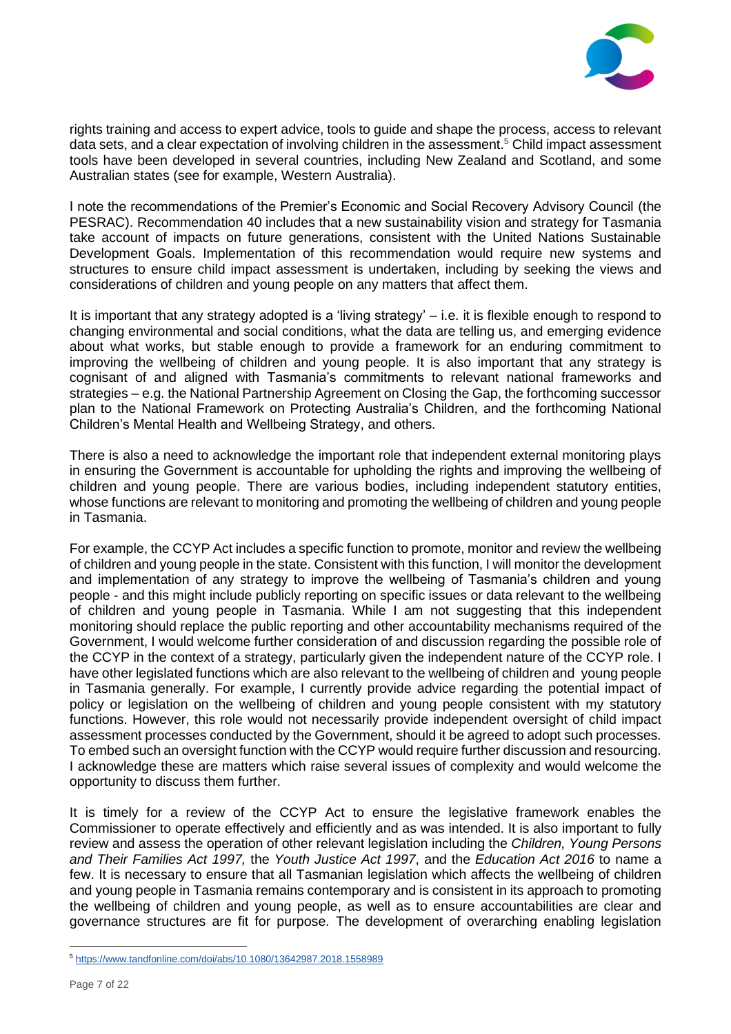

rights training and access to expert advice, tools to guide and shape the process, access to relevant data sets, and a clear expectation of involving children in the assessment. <sup>5</sup> Child impact assessment tools have been developed in several countries, including New Zealand and Scotland, and some Australian states (see for example, Western Australia).

I note the recommendations of the Premier's Economic and Social Recovery Advisory Council (the PESRAC). Recommendation 40 includes that a new sustainability vision and strategy for Tasmania take account of impacts on future generations, consistent with the United Nations Sustainable Development Goals. Implementation of this recommendation would require new systems and structures to ensure child impact assessment is undertaken, including by seeking the views and considerations of children and young people on any matters that affect them.

It is important that any strategy adopted is a 'living strategy' – i.e. it is flexible enough to respond to changing environmental and social conditions, what the data are telling us, and emerging evidence about what works, but stable enough to provide a framework for an enduring commitment to improving the wellbeing of children and young people. It is also important that any strategy is cognisant of and aligned with Tasmania's commitments to relevant national frameworks and strategies – e.g. the National Partnership Agreement on Closing the Gap, the forthcoming successor plan to the National Framework on Protecting Australia's Children, and the forthcoming National Children's Mental Health and Wellbeing Strategy, and others.

There is also a need to acknowledge the important role that independent external monitoring plays in ensuring the Government is accountable for upholding the rights and improving the wellbeing of children and young people. There are various bodies, including independent statutory entities, whose functions are relevant to monitoring and promoting the wellbeing of children and young people in Tasmania.

For example, the CCYP Act includes a specific function to promote, monitor and review the wellbeing of children and young people in the state. Consistent with this function, I will monitor the development and implementation of any strategy to improve the wellbeing of Tasmania's children and young people - and this might include publicly reporting on specific issues or data relevant to the wellbeing of children and young people in Tasmania. While I am not suggesting that this independent monitoring should replace the public reporting and other accountability mechanisms required of the Government, I would welcome further consideration of and discussion regarding the possible role of the CCYP in the context of a strategy, particularly given the independent nature of the CCYP role. I have other legislated functions which are also relevant to the wellbeing of children and young people in Tasmania generally. For example, I currently provide advice regarding the potential impact of policy or legislation on the wellbeing of children and young people consistent with my statutory functions. However, this role would not necessarily provide independent oversight of child impact assessment processes conducted by the Government, should it be agreed to adopt such processes. To embed such an oversight function with the CCYP would require further discussion and resourcing. I acknowledge these are matters which raise several issues of complexity and would welcome the opportunity to discuss them further.

It is timely for a review of the CCYP Act to ensure the legislative framework enables the Commissioner to operate effectively and efficiently and as was intended. It is also important to fully review and assess the operation of other relevant legislation including the *Children, Young Persons and Their Families Act 1997,* the *Youth Justice Act 1997*, and the *Education Act 2016* to name a few. It is necessary to ensure that all Tasmanian legislation which affects the wellbeing of children and young people in Tasmania remains contemporary and is consistent in its approach to promoting the wellbeing of children and young people, as well as to ensure accountabilities are clear and governance structures are fit for purpose. The development of overarching enabling legislation

<sup>5</sup> <https://www.tandfonline.com/doi/abs/10.1080/13642987.2018.1558989>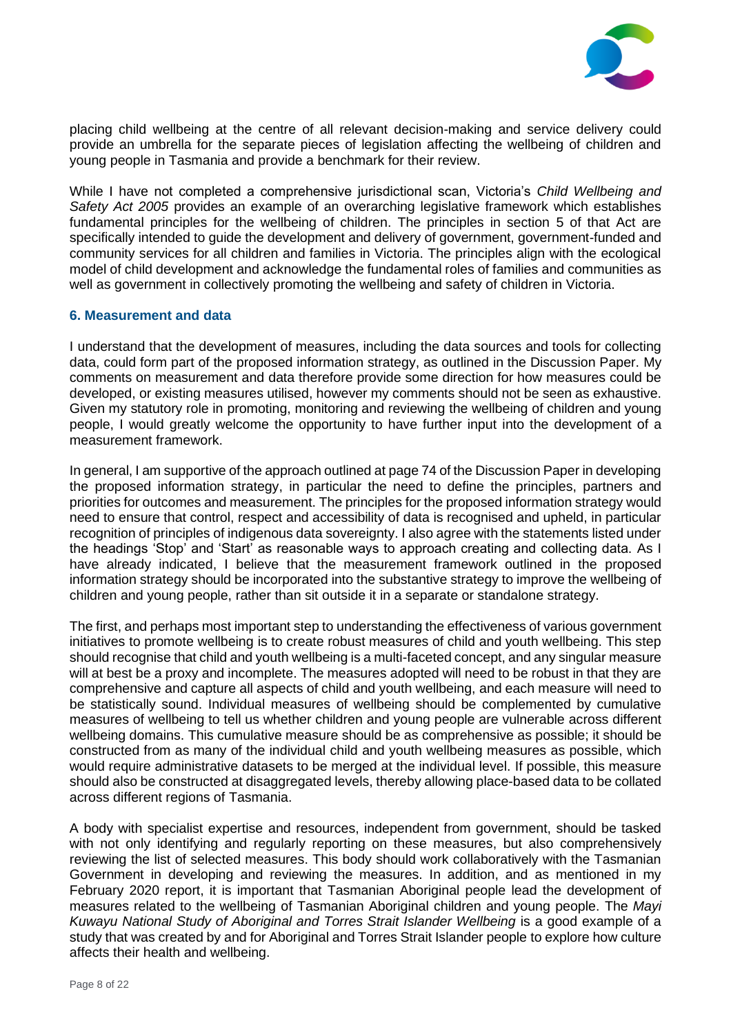

placing child wellbeing at the centre of all relevant decision-making and service delivery could provide an umbrella for the separate pieces of legislation affecting the wellbeing of children and young people in Tasmania and provide a benchmark for their review.

While I have not completed a comprehensive jurisdictional scan, Victoria's *Child Wellbeing and Safety Act 2005* provides an example of an overarching legislative framework which establishes fundamental principles for the wellbeing of children. The principles in section 5 of that Act are specifically intended to guide the development and delivery of government, government-funded and community services for all children and families in Victoria. The principles align with the ecological model of child development and acknowledge the fundamental roles of families and communities as well as government in collectively promoting the wellbeing and safety of children in Victoria.

## **6. Measurement and data**

I understand that the development of measures, including the data sources and tools for collecting data, could form part of the proposed information strategy, as outlined in the Discussion Paper. My comments on measurement and data therefore provide some direction for how measures could be developed, or existing measures utilised, however my comments should not be seen as exhaustive. Given my statutory role in promoting, monitoring and reviewing the wellbeing of children and young people, I would greatly welcome the opportunity to have further input into the development of a measurement framework.

In general, I am supportive of the approach outlined at page 74 of the Discussion Paper in developing the proposed information strategy, in particular the need to define the principles, partners and priorities for outcomes and measurement. The principles for the proposed information strategy would need to ensure that control, respect and accessibility of data is recognised and upheld, in particular recognition of principles of indigenous data sovereignty. I also agree with the statements listed under the headings 'Stop' and 'Start' as reasonable ways to approach creating and collecting data. As I have already indicated, I believe that the measurement framework outlined in the proposed information strategy should be incorporated into the substantive strategy to improve the wellbeing of children and young people, rather than sit outside it in a separate or standalone strategy.

The first, and perhaps most important step to understanding the effectiveness of various government initiatives to promote wellbeing is to create robust measures of child and youth wellbeing. This step should recognise that child and youth wellbeing is a multi-faceted concept, and any singular measure will at best be a proxy and incomplete. The measures adopted will need to be robust in that they are comprehensive and capture all aspects of child and youth wellbeing, and each measure will need to be statistically sound. Individual measures of wellbeing should be complemented by cumulative measures of wellbeing to tell us whether children and young people are vulnerable across different wellbeing domains. This cumulative measure should be as comprehensive as possible; it should be constructed from as many of the individual child and youth wellbeing measures as possible, which would require administrative datasets to be merged at the individual level. If possible, this measure should also be constructed at disaggregated levels, thereby allowing place-based data to be collated across different regions of Tasmania.

A body with specialist expertise and resources, independent from government, should be tasked with not only identifying and regularly reporting on these measures, but also comprehensively reviewing the list of selected measures. This body should work collaboratively with the Tasmanian Government in developing and reviewing the measures. In addition, and as mentioned in my February 2020 report, it is important that Tasmanian Aboriginal people lead the development of measures related to the wellbeing of Tasmanian Aboriginal children and young people. The *Mayi Kuwayu National Study of Aboriginal and Torres Strait Islander Wellbeing* is a good example of a study that was created by and for Aboriginal and Torres Strait Islander people to explore how culture affects their health and wellbeing.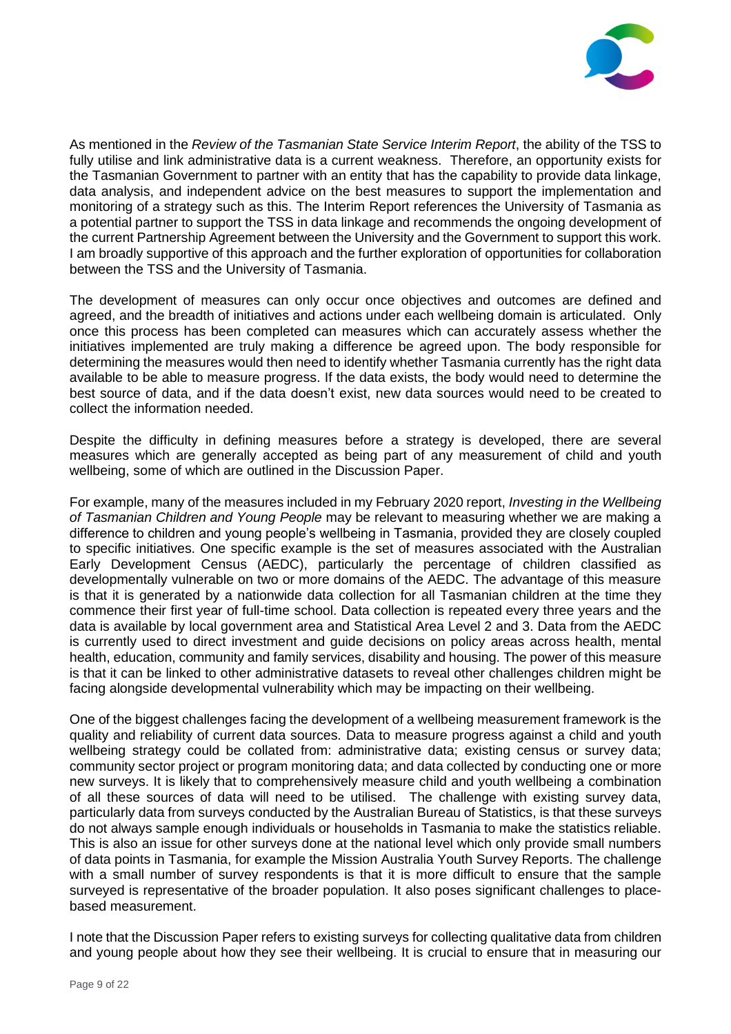

As mentioned in the *Review of the Tasmanian State Service Interim Report*, the ability of the TSS to fully utilise and link administrative data is a current weakness. Therefore, an opportunity exists for the Tasmanian Government to partner with an entity that has the capability to provide data linkage, data analysis, and independent advice on the best measures to support the implementation and monitoring of a strategy such as this. The Interim Report references the University of Tasmania as a potential partner to support the TSS in data linkage and recommends the ongoing development of the current Partnership Agreement between the University and the Government to support this work. I am broadly supportive of this approach and the further exploration of opportunities for collaboration between the TSS and the University of Tasmania.

The development of measures can only occur once objectives and outcomes are defined and agreed, and the breadth of initiatives and actions under each wellbeing domain is articulated. Only once this process has been completed can measures which can accurately assess whether the initiatives implemented are truly making a difference be agreed upon. The body responsible for determining the measures would then need to identify whether Tasmania currently has the right data available to be able to measure progress. If the data exists, the body would need to determine the best source of data, and if the data doesn't exist, new data sources would need to be created to collect the information needed.

Despite the difficulty in defining measures before a strategy is developed, there are several measures which are generally accepted as being part of any measurement of child and youth wellbeing, some of which are outlined in the Discussion Paper.

For example, many of the measures included in my February 2020 report, *Investing in the Wellbeing of Tasmanian Children and Young People* may be relevant to measuring whether we are making a difference to children and young people's wellbeing in Tasmania, provided they are closely coupled to specific initiatives. One specific example is the set of measures associated with the Australian Early Development Census (AEDC), particularly the percentage of children classified as developmentally vulnerable on two or more domains of the AEDC. The advantage of this measure is that it is generated by a nationwide data collection for all Tasmanian children at the time they commence their first year of full-time school. Data collection is repeated every three years and the data is available by local government area and Statistical Area Level 2 and 3. Data from the AEDC is currently used to direct investment and guide decisions on policy areas across health, mental health, education, community and family services, disability and housing. The power of this measure is that it can be linked to other administrative datasets to reveal other challenges children might be facing alongside developmental vulnerability which may be impacting on their wellbeing.

One of the biggest challenges facing the development of a wellbeing measurement framework is the quality and reliability of current data sources. Data to measure progress against a child and youth wellbeing strategy could be collated from: administrative data; existing census or survey data; community sector project or program monitoring data; and data collected by conducting one or more new surveys. It is likely that to comprehensively measure child and youth wellbeing a combination of all these sources of data will need to be utilised. The challenge with existing survey data, particularly data from surveys conducted by the Australian Bureau of Statistics, is that these surveys do not always sample enough individuals or households in Tasmania to make the statistics reliable. This is also an issue for other surveys done at the national level which only provide small numbers of data points in Tasmania, for example the Mission Australia Youth Survey Reports. The challenge with a small number of survey respondents is that it is more difficult to ensure that the sample surveyed is representative of the broader population. It also poses significant challenges to placebased measurement.

I note that the Discussion Paper refers to existing surveys for collecting qualitative data from children and young people about how they see their wellbeing. It is crucial to ensure that in measuring our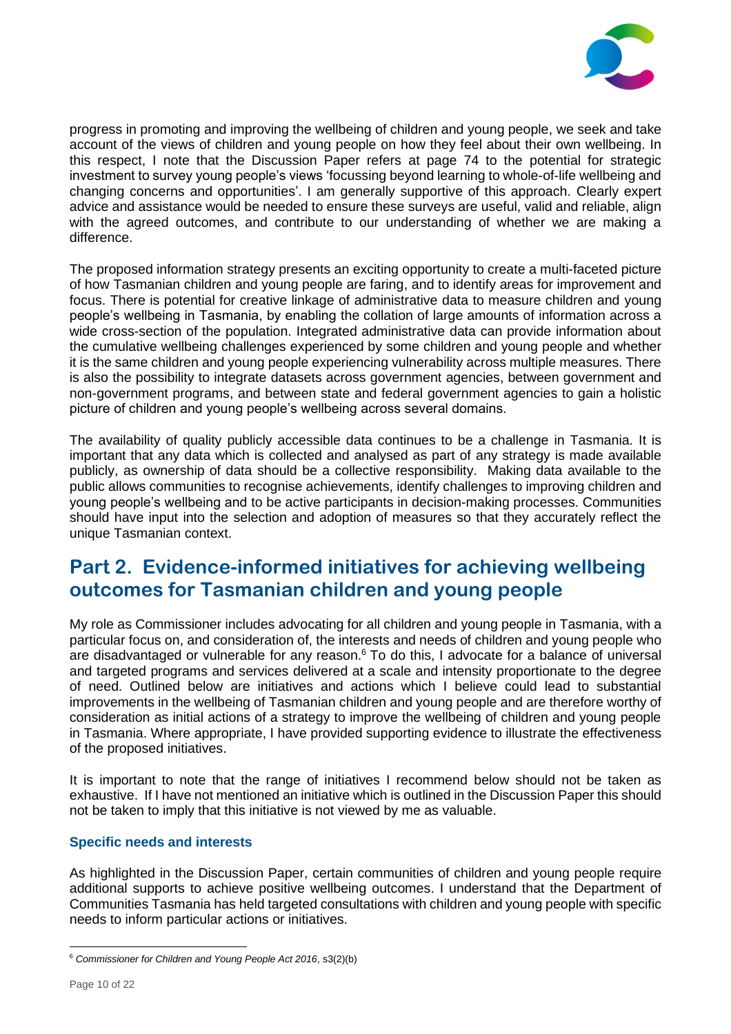

progress in promoting and improving the wellbeing of children and young people, we seek and take account of the views of children and young people on how they feel about their own wellbeing. In this respect, I note that the Discussion Paper refers at page 74 to the potential for strategic investment to survey young people's views 'focussing beyond learning to whole-of-life wellbeing and changing concerns and opportunities'. I am generally supportive of this approach. Clearly expert advice and assistance would be needed to ensure these surveys are useful, valid and reliable, align with the agreed outcomes, and contribute to our understanding of whether we are making a difference.

The proposed information strategy presents an exciting opportunity to create a multi-faceted picture of how Tasmanian children and young people are faring, and to identify areas for improvement and focus. There is potential for creative linkage of administrative data to measure children and young people's wellbeing in Tasmania, by enabling the collation of large amounts of information across a wide cross-section of the population. Integrated administrative data can provide information about the cumulative wellbeing challenges experienced by some children and young people and whether it is the same children and young people experiencing vulnerability across multiple measures. There is also the possibility to integrate datasets across government agencies, between government and non-government programs, and between state and federal government agencies to gain a holistic picture of children and young people's wellbeing across several domains.

The availability of quality publicly accessible data continues to be a challenge in Tasmania. It is important that any data which is collected and analysed as part of any strategy is made available publicly, as ownership of data should be a collective responsibility. Making data available to the public allows communities to recognise achievements, identify challenges to improving children and young people's wellbeing and to be active participants in decision-making processes. Communities should have input into the selection and adoption of measures so that they accurately reflect the unique Tasmanian context.

# **Part 2. Evidence-informed initiatives for achieving wellbeing outcomes for Tasmanian children and young people**

My role as Commissioner includes advocating for all children and young people in Tasmania, with a particular focus on, and consideration of, the interests and needs of children and young people who are disadvantaged or vulnerable for any reason.<sup>6</sup> To do this, I advocate for a balance of universal and targeted programs and services delivered at a scale and intensity proportionate to the degree of need. Outlined below are initiatives and actions which I believe could lead to substantial improvements in the wellbeing of Tasmanian children and young people and are therefore worthy of consideration as initial actions of a strategy to improve the wellbeing of children and young people in Tasmania. Where appropriate, I have provided supporting evidence to illustrate the effectiveness of the proposed initiatives.

It is important to note that the range of initiatives I recommend below should not be taken as exhaustive. If I have not mentioned an initiative which is outlined in the Discussion Paper this should not be taken to imply that this initiative is not viewed by me as valuable.

# **Specific needs and interests**

As highlighted in the Discussion Paper, certain communities of children and young people require additional supports to achieve positive wellbeing outcomes. I understand that the Department of Communities Tasmania has held targeted consultations with children and young people with specific needs to inform particular actions or initiatives.

<sup>6</sup> *Commissioner for Children and Young People Act 2016*, s3(2)(b)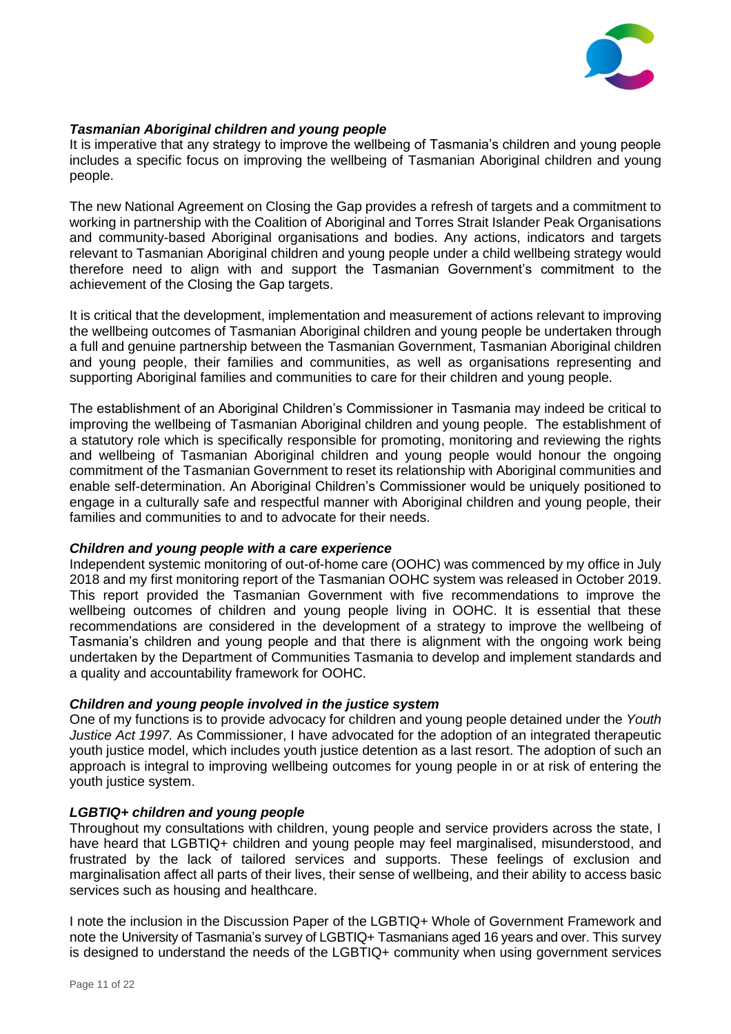

## *Tasmanian Aboriginal children and young people*

It is imperative that any strategy to improve the wellbeing of Tasmania's children and young people includes a specific focus on improving the wellbeing of Tasmanian Aboriginal children and young people.

The new National Agreement on Closing the Gap provides a refresh of targets and a commitment to working in partnership with the Coalition of Aboriginal and Torres Strait Islander Peak Organisations and community-based Aboriginal organisations and bodies. Any actions, indicators and targets relevant to Tasmanian Aboriginal children and young people under a child wellbeing strategy would therefore need to align with and support the Tasmanian Government's commitment to the achievement of the Closing the Gap targets.

It is critical that the development, implementation and measurement of actions relevant to improving the wellbeing outcomes of Tasmanian Aboriginal children and young people be undertaken through a full and genuine partnership between the Tasmanian Government, Tasmanian Aboriginal children and young people, their families and communities, as well as organisations representing and supporting Aboriginal families and communities to care for their children and young people.

The establishment of an Aboriginal Children's Commissioner in Tasmania may indeed be critical to improving the wellbeing of Tasmanian Aboriginal children and young people. The establishment of a statutory role which is specifically responsible for promoting, monitoring and reviewing the rights and wellbeing of Tasmanian Aboriginal children and young people would honour the ongoing commitment of the Tasmanian Government to reset its relationship with Aboriginal communities and enable self-determination. An Aboriginal Children's Commissioner would be uniquely positioned to engage in a culturally safe and respectful manner with Aboriginal children and young people, their families and communities to and to advocate for their needs.

#### *Children and young people with a care experience*

Independent systemic monitoring of out-of-home care (OOHC) was commenced by my office in July 2018 and my first monitoring report of the Tasmanian OOHC system was released in October 2019. This report provided the Tasmanian Government with five recommendations to improve the wellbeing outcomes of children and young people living in OOHC. It is essential that these recommendations are considered in the development of a strategy to improve the wellbeing of Tasmania's children and young people and that there is alignment with the ongoing work being undertaken by the Department of Communities Tasmania to develop and implement standards and a quality and accountability framework for OOHC.

# *Children and young people involved in the justice system*

One of my functions is to provide advocacy for children and young people detained under the *Youth Justice Act 1997.* As Commissioner, I have advocated for the adoption of an integrated therapeutic youth justice model, which includes youth justice detention as a last resort. The adoption of such an approach is integral to improving wellbeing outcomes for young people in or at risk of entering the youth justice system.

#### *LGBTIQ+ children and young people*

Throughout my consultations with children, young people and service providers across the state, I have heard that LGBTIQ+ children and young people may feel marginalised, misunderstood, and frustrated by the lack of tailored services and supports. These feelings of exclusion and marginalisation affect all parts of their lives, their sense of wellbeing, and their ability to access basic services such as housing and healthcare.

I note the inclusion in the Discussion Paper of the LGBTIQ+ Whole of Government Framework and note the University of Tasmania's survey of LGBTIQ+ Tasmanians aged 16 years and over. This survey is designed to understand the needs of the LGBTIQ+ community when using government services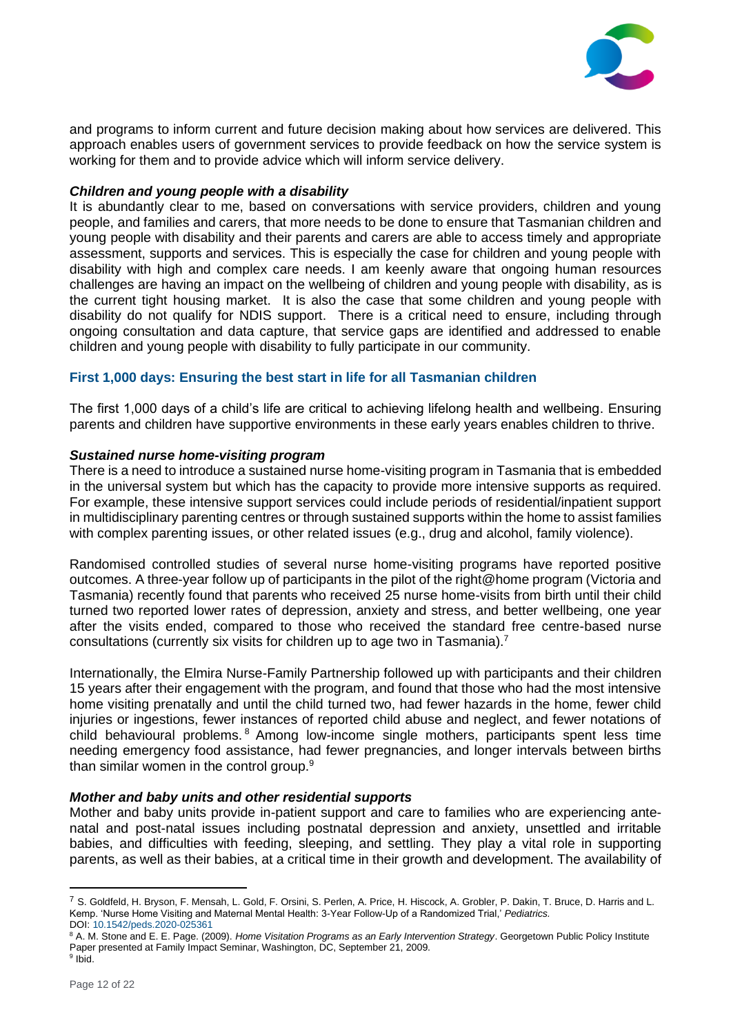

and programs to inform current and future decision making about how services are delivered. This approach enables users of government services to provide feedback on how the service system is working for them and to provide advice which will inform service delivery.

## *Children and young people with a disability*

It is abundantly clear to me, based on conversations with service providers, children and young people, and families and carers, that more needs to be done to ensure that Tasmanian children and young people with disability and their parents and carers are able to access timely and appropriate assessment, supports and services. This is especially the case for children and young people with disability with high and complex care needs. I am keenly aware that ongoing human resources challenges are having an impact on the wellbeing of children and young people with disability, as is the current tight housing market. It is also the case that some children and young people with disability do not qualify for NDIS support. There is a critical need to ensure, including through ongoing consultation and data capture, that service gaps are identified and addressed to enable children and young people with disability to fully participate in our community.

# **First 1,000 days: Ensuring the best start in life for all Tasmanian children**

The first 1,000 days of a child's life are critical to achieving lifelong health and wellbeing. Ensuring parents and children have supportive environments in these early years enables children to thrive.

## *Sustained nurse home-visiting program*

There is a need to introduce a sustained nurse home-visiting program in Tasmania that is embedded in the universal system but which has the capacity to provide more intensive supports as required. For example, these intensive support services could include periods of residential/inpatient support in multidisciplinary parenting centres or through sustained supports within the home to assist families with complex parenting issues, or other related issues (e.g., drug and alcohol, family violence).

Randomised controlled studies of several nurse home-visiting programs have reported positive outcomes. A three-year follow up of participants in the pilot of the right@home program (Victoria and Tasmania) recently found that parents who received 25 nurse home-visits from birth until their child turned two reported lower rates of depression, anxiety and stress, and better wellbeing, one year after the visits ended, compared to those who received the standard free centre-based nurse consultations (currently six visits for children up to age two in Tasmania).<sup>7</sup>

Internationally, the Elmira Nurse-Family Partnership followed up with participants and their children 15 years after their engagement with the program, and found that those who had the most intensive home visiting prenatally and until the child turned two, had fewer hazards in the home, fewer child injuries or ingestions, fewer instances of reported child abuse and neglect, and fewer notations of child behavioural problems. <sup>8</sup> Among low-income single mothers, participants spent less time needing emergency food assistance, had fewer pregnancies, and longer intervals between births than similar women in the control group.<sup>9</sup>

#### *Mother and baby units and other residential supports*

Mother and baby units provide in-patient support and care to families who are experiencing antenatal and post-natal issues including postnatal depression and anxiety, unsettled and irritable babies, and difficulties with feeding, sleeping, and settling. They play a vital role in supporting parents, as well as their babies, at a critical time in their growth and development. The availability of

<sup>7</sup> S. Goldfeld, H. Bryson, F. Mensah, L. Gold, F. Orsini, S. Perlen, A. Price, H. Hiscock, A. Grobler, P. Dakin, T. Bruce, D. Harris and L. Kemp. 'Nurse Home Visiting and Maternal Mental Health: 3-Year Follow-Up of a Randomized Trial,' *Pediatrics.* DOI: [10.1542/peds.2020-025361](https://pediatrics.aappublications.org/content/early/2021/01/20/peds.2020-025361)

<sup>&</sup>lt;sup>8</sup> A. M. Stone and E. E. Page. (2009). Home Visitation Programs as an Early Intervention Strategy. Georgetown Public Policy Institute Paper presented at Family Impact Seminar, Washington, DC, September 21, 2009. <sup>9</sup> Ibid.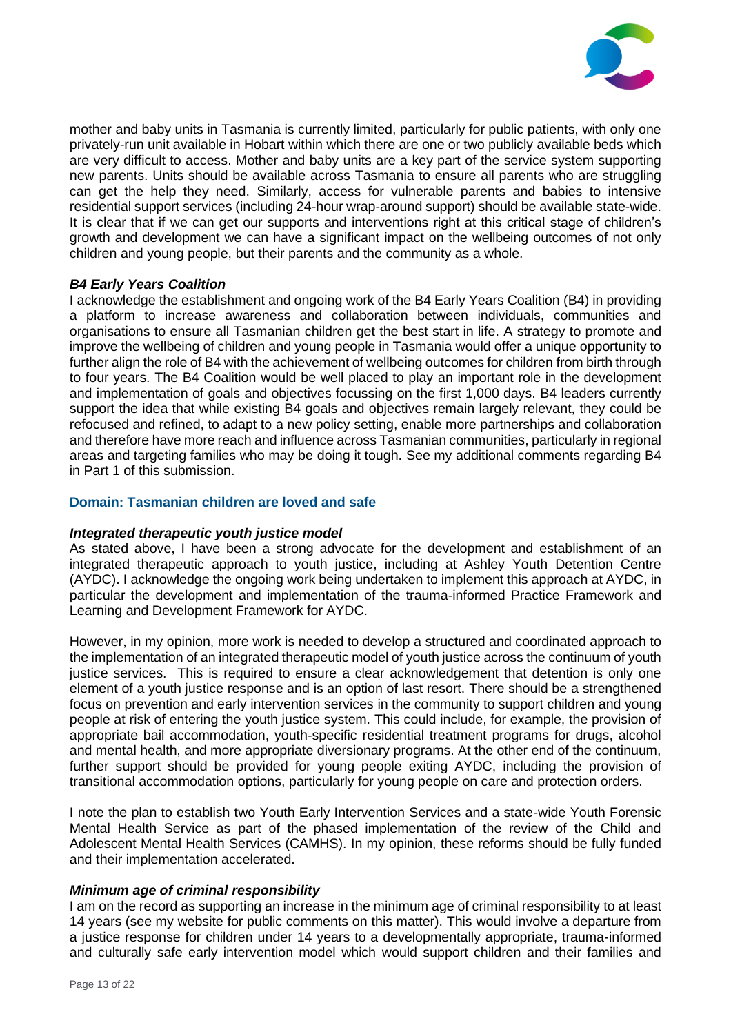

mother and baby units in Tasmania is currently limited, particularly for public patients, with only one privately-run unit available in Hobart within which there are one or two publicly available beds which are very difficult to access. Mother and baby units are a key part of the service system supporting new parents. Units should be available across Tasmania to ensure all parents who are struggling can get the help they need. Similarly, access for vulnerable parents and babies to intensive residential support services (including 24-hour wrap-around support) should be available state-wide. It is clear that if we can get our supports and interventions right at this critical stage of children's growth and development we can have a significant impact on the wellbeing outcomes of not only children and young people, but their parents and the community as a whole.

## *B4 Early Years Coalition*

I acknowledge the establishment and ongoing work of the B4 Early Years Coalition (B4) in providing a platform to increase awareness and collaboration between individuals, communities and organisations to ensure all Tasmanian children get the best start in life. A strategy to promote and improve the wellbeing of children and young people in Tasmania would offer a unique opportunity to further align the role of B4 with the achievement of wellbeing outcomes for children from birth through to four years. The B4 Coalition would be well placed to play an important role in the development and implementation of goals and objectives focussing on the first 1,000 days. B4 leaders currently support the idea that while existing B4 goals and objectives remain largely relevant, they could be refocused and refined, to adapt to a new policy setting, enable more partnerships and collaboration and therefore have more reach and influence across Tasmanian communities, particularly in regional areas and targeting families who may be doing it tough. See my additional comments regarding B4 in Part 1 of this submission.

## **Domain: Tasmanian children are loved and safe**

#### *Integrated therapeutic youth justice model*

As stated above, I have been a strong advocate for the development and establishment of an integrated therapeutic approach to youth justice, including at Ashley Youth Detention Centre (AYDC). I acknowledge the ongoing work being undertaken to implement this approach at AYDC, in particular the development and implementation of the trauma-informed Practice Framework and Learning and Development Framework for AYDC.

However, in my opinion, more work is needed to develop a structured and coordinated approach to the implementation of an integrated therapeutic model of youth justice across the continuum of youth justice services. This is required to ensure a clear acknowledgement that detention is only one element of a youth justice response and is an option of last resort. There should be a strengthened focus on prevention and early intervention services in the community to support children and young people at risk of entering the youth justice system. This could include, for example, the provision of appropriate bail accommodation, youth-specific residential treatment programs for drugs, alcohol and mental health, and more appropriate diversionary programs. At the other end of the continuum, further support should be provided for young people exiting AYDC, including the provision of transitional accommodation options, particularly for young people on care and protection orders.

I note the plan to establish two Youth Early Intervention Services and a state-wide Youth Forensic Mental Health Service as part of the phased implementation of the review of the Child and Adolescent Mental Health Services (CAMHS). In my opinion, these reforms should be fully funded and their implementation accelerated.

#### *Minimum age of criminal responsibility*

I am on the record as supporting an increase in the minimum age of criminal responsibility to at least 14 years (see my website for public comments on this matter). This would involve a departure from a justice response for children under 14 years to a developmentally appropriate, trauma-informed and culturally safe early intervention model which would support children and their families and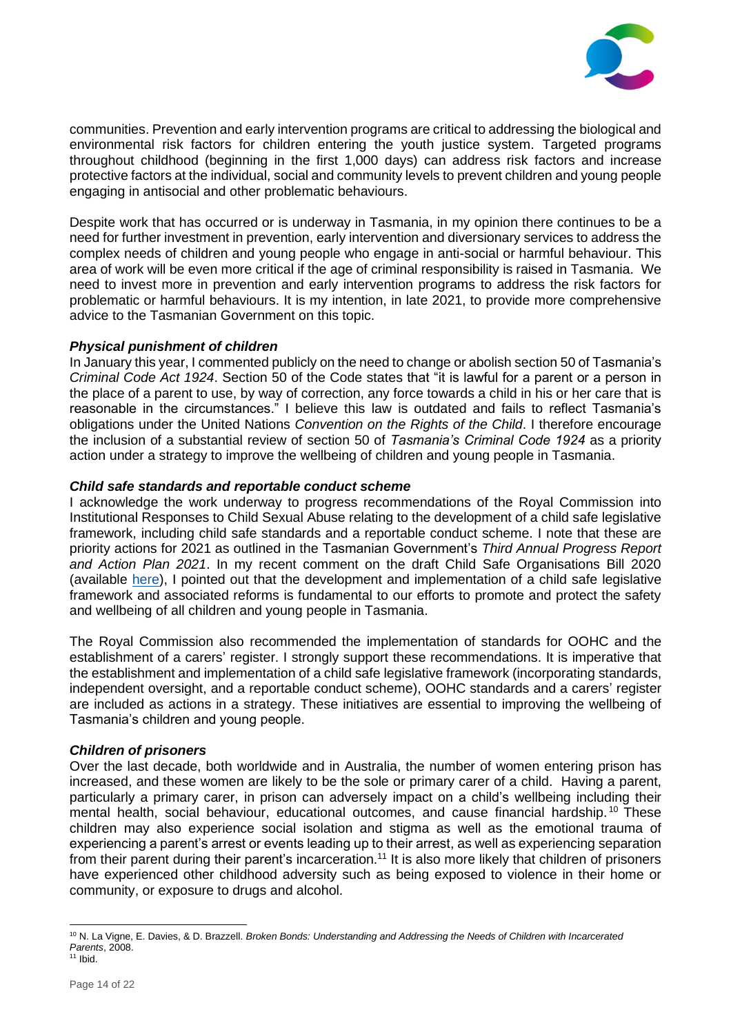

communities. Prevention and early intervention programs are critical to addressing the biological and environmental risk factors for children entering the youth justice system. Targeted programs throughout childhood (beginning in the first 1,000 days) can address risk factors and increase protective factors at the individual, social and community levels to prevent children and young people engaging in antisocial and other problematic behaviours.

Despite work that has occurred or is underway in Tasmania, in my opinion there continues to be a need for further investment in prevention, early intervention and diversionary services to address the complex needs of children and young people who engage in anti-social or harmful behaviour. This area of work will be even more critical if the age of criminal responsibility is raised in Tasmania. We need to invest more in prevention and early intervention programs to address the risk factors for problematic or harmful behaviours. It is my intention, in late 2021, to provide more comprehensive advice to the Tasmanian Government on this topic.

## *Physical punishment of children*

In January this year, I commented publicly on the need to change or abolish section 50 of Tasmania's *Criminal Code Act 1924*. Section 50 of the Code states that "it is lawful for a parent or a person in the place of a parent to use, by way of correction, any force towards a child in his or her care that is reasonable in the circumstances." I believe this law is outdated and fails to reflect Tasmania's obligations under the United Nations *Convention on the Rights of the Child*. I therefore encourage the inclusion of a substantial review of section 50 of *Tasmania's Criminal Code 1924* as a priority action under a strategy to improve the wellbeing of children and young people in Tasmania.

## *Child safe standards and reportable conduct scheme*

I acknowledge the work underway to progress recommendations of the Royal Commission into Institutional Responses to Child Sexual Abuse relating to the development of a child safe legislative framework, including child safe standards and a reportable conduct scheme. I note that these are priority actions for 2021 as outlined in the Tasmanian Government's *Third Annual Progress Report and Action Plan 2021*. In my recent comment on the draft Child Safe Organisations Bill 2020 (available [here\)](https://www.childcomm.tas.gov.au/wp-content/uploads/2021-03-01-Submission-Child-Safe-Organisations-Bill-2020-FINAL.pdf), I pointed out that the development and implementation of a child safe legislative framework and associated reforms is fundamental to our efforts to promote and protect the safety and wellbeing of all children and young people in Tasmania.

The Royal Commission also recommended the implementation of standards for OOHC and the establishment of a carers' register. I strongly support these recommendations. It is imperative that the establishment and implementation of a child safe legislative framework (incorporating standards, independent oversight, and a reportable conduct scheme), OOHC standards and a carers' register are included as actions in a strategy. These initiatives are essential to improving the wellbeing of Tasmania's children and young people.

#### *Children of prisoners*

Over the last decade, both worldwide and in Australia, the number of women entering prison has increased, and these women are likely to be the sole or primary carer of a child. Having a parent, particularly a primary carer, in prison can adversely impact on a child's wellbeing including their mental health, social behaviour, educational outcomes, and cause financial hardship.<sup>10</sup> These children may also experience social isolation and stigma as well as the emotional trauma of experiencing a parent's arrest or events leading up to their arrest, as well as experiencing separation from their parent during their parent's incarceration.<sup>11</sup> It is also more likely that children of prisoners have experienced other childhood adversity such as being exposed to violence in their home or community, or exposure to drugs and alcohol.

<sup>10</sup> N. La Vigne, E. Davies, & D. Brazzell. *Broken Bonds: Understanding and Addressing the Needs of Children with Incarcerated Parents*, 2008.

 $11$  Ibid.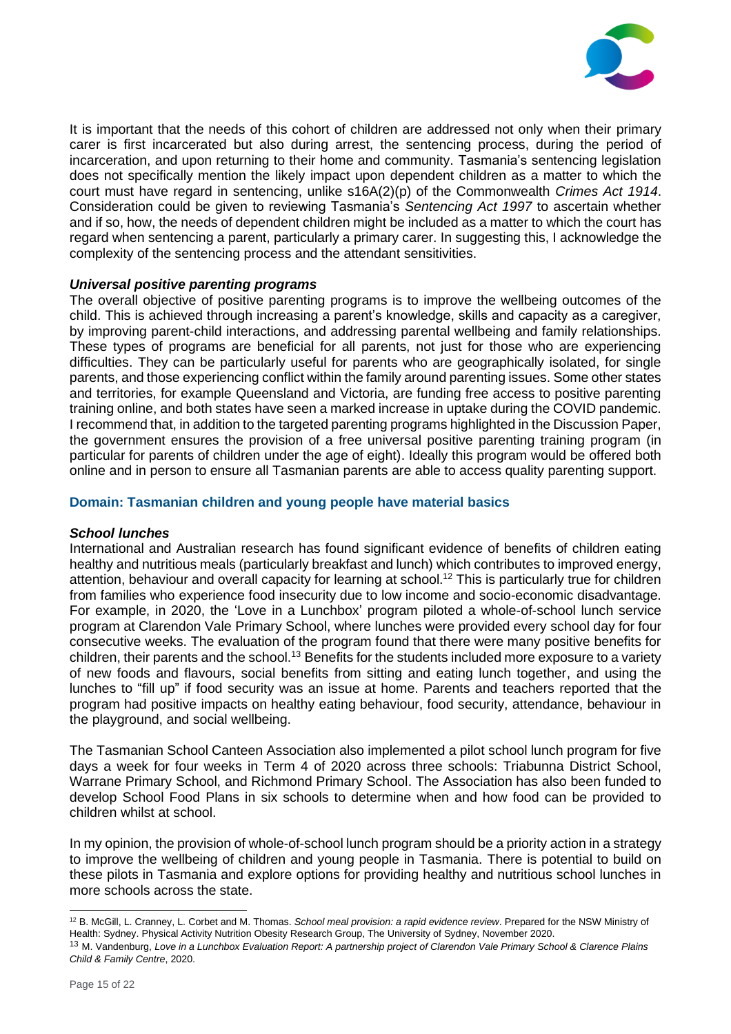

It is important that the needs of this cohort of children are addressed not only when their primary carer is first incarcerated but also during arrest, the sentencing process, during the period of incarceration, and upon returning to their home and community. Tasmania's sentencing legislation does not specifically mention the likely impact upon dependent children as a matter to which the court must have regard in sentencing, unlike s16A(2)(p) of the Commonwealth *Crimes Act 1914*. Consideration could be given to reviewing Tasmania's *Sentencing Act 1997* to ascertain whether and if so, how, the needs of dependent children might be included as a matter to which the court has regard when sentencing a parent, particularly a primary carer. In suggesting this, I acknowledge the complexity of the sentencing process and the attendant sensitivities.

# *Universal positive parenting programs*

The overall objective of positive parenting programs is to improve the wellbeing outcomes of the child. This is achieved through increasing a parent's knowledge, skills and capacity as a caregiver, by improving parent-child interactions, and addressing parental wellbeing and family relationships. These types of programs are beneficial for all parents, not just for those who are experiencing difficulties. They can be particularly useful for parents who are geographically isolated, for single parents, and those experiencing conflict within the family around parenting issues. Some other states and territories, for example Queensland and Victoria, are funding free access to positive parenting training online, and both states have seen a marked increase in uptake during the COVID pandemic. I recommend that, in addition to the targeted parenting programs highlighted in the Discussion Paper, the government ensures the provision of a free universal positive parenting training program (in particular for parents of children under the age of eight). Ideally this program would be offered both online and in person to ensure all Tasmanian parents are able to access quality parenting support.

## **Domain: Tasmanian children and young people have material basics**

#### *School lunches*

International and Australian research has found significant evidence of benefits of children eating healthy and nutritious meals (particularly breakfast and lunch) which contributes to improved energy, attention, behaviour and overall capacity for learning at school.<sup>12</sup> This is particularly true for children from families who experience food insecurity due to low income and socio-economic disadvantage. For example, in 2020, the 'Love in a Lunchbox' program piloted a whole-of-school lunch service program at Clarendon Vale Primary School, where lunches were provided every school day for four consecutive weeks. The evaluation of the program found that there were many positive benefits for children, their parents and the school.<sup>13</sup> Benefits for the students included more exposure to a variety of new foods and flavours, social benefits from sitting and eating lunch together, and using the lunches to "fill up" if food security was an issue at home. Parents and teachers reported that the program had positive impacts on healthy eating behaviour, food security, attendance, behaviour in the playground, and social wellbeing.

The Tasmanian School Canteen Association also implemented a pilot school lunch program for five days a week for four weeks in Term 4 of 2020 across three schools: Triabunna District School, Warrane Primary School, and Richmond Primary School. The Association has also been funded to develop School Food Plans in six schools to determine when and how food can be provided to children whilst at school.

In my opinion, the provision of whole-of-school lunch program should be a priority action in a strategy to improve the wellbeing of children and young people in Tasmania. There is potential to build on these pilots in Tasmania and explore options for providing healthy and nutritious school lunches in more schools across the state.

<sup>12</sup> B. McGill, L. Cranney, L. Corbet and M. Thomas. *School meal provision: a rapid evidence review*. Prepared for the NSW Ministry of Health: Sydney. Physical Activity Nutrition Obesity Research Group, The University of Sydney, November 2020.

<sup>13</sup> M. Vandenburg, *Love in a Lunchbox Evaluation Report: A partnership project of Clarendon Vale Primary School & Clarence Plains Child & Family Centre*, 2020.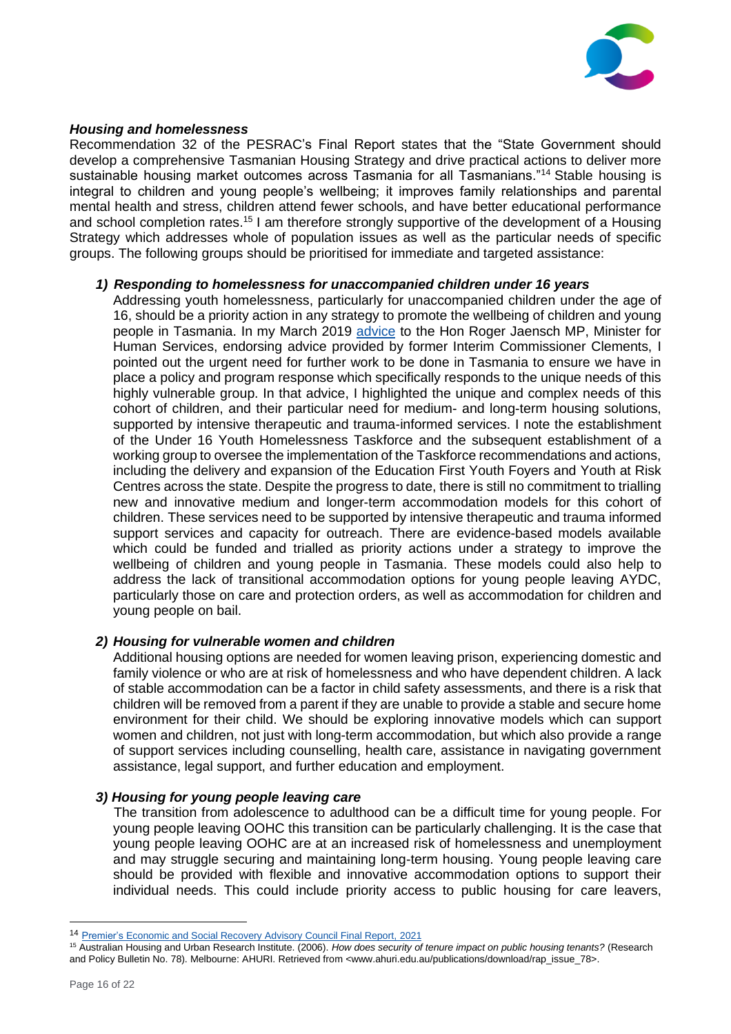

## *Housing and homelessness*

Recommendation 32 of the PESRAC's Final Report states that the "State Government should develop a comprehensive Tasmanian Housing Strategy and drive practical actions to deliver more sustainable housing market outcomes across Tasmania for all Tasmanians."<sup>14</sup> Stable housing is integral to children and young people's wellbeing; it improves family relationships and parental mental health and stress, children attend fewer schools, and have better educational performance and school completion rates.<sup>15</sup> I am therefore strongly supportive of the development of a Housing Strategy which addresses whole of population issues as well as the particular needs of specific groups. The following groups should be prioritised for immediate and targeted assistance:

#### *1) Responding to homelessness for unaccompanied children under 16 years*

Addressing youth homelessness, particularly for unaccompanied children under the age of 16, should be a priority action in any strategy to promote the wellbeing of children and young people in Tasmania. In my March 2019 [advice](https://www.childcomm.tas.gov.au/wp-content/uploads/2019-03-01-Letter-to-Minister-Jaensch-Unaccompanied-Homeless-Under-16s-FINAL.pdf) to the Hon Roger Jaensch MP, Minister for Human Services, endorsing advice provided by former Interim Commissioner Clements, I pointed out the urgent need for further work to be done in Tasmania to ensure we have in place a policy and program response which specifically responds to the unique needs of this highly vulnerable group. In that advice, I highlighted the unique and complex needs of this cohort of children, and their particular need for medium- and long-term housing solutions, supported by intensive therapeutic and trauma-informed services. I note the establishment of the Under 16 Youth Homelessness Taskforce and the subsequent establishment of a working group to oversee the implementation of the Taskforce recommendations and actions, including the delivery and expansion of the Education First Youth Foyers and Youth at Risk Centres across the state. Despite the progress to date, there is still no commitment to trialling new and innovative medium and longer-term accommodation models for this cohort of children. These services need to be supported by intensive therapeutic and trauma informed support services and capacity for outreach. There are evidence-based models available which could be funded and trialled as priority actions under a strategy to improve the wellbeing of children and young people in Tasmania. These models could also help to address the lack of transitional accommodation options for young people leaving AYDC, particularly those on care and protection orders, as well as accommodation for children and young people on bail.

# *2) Housing for vulnerable women and children*

Additional housing options are needed for women leaving prison, experiencing domestic and family violence or who are at risk of homelessness and who have dependent children. A lack of stable accommodation can be a factor in child safety assessments, and there is a risk that children will be removed from a parent if they are unable to provide a stable and secure home environment for their child. We should be exploring innovative models which can support women and children, not just with long-term accommodation, but which also provide a range of support services including counselling, health care, assistance in navigating government assistance, legal support, and further education and employment.

#### *3) Housing for young people leaving care*

The transition from adolescence to adulthood can be a difficult time for young people. For young people leaving OOHC this transition can be particularly challenging. It is the case that young people leaving OOHC are at an increased risk of homelessness and unemployment and may struggle securing and maintaining long-term housing. Young people leaving care should be provided with flexible and innovative accommodation options to support their individual needs. This could include priority access to public housing for care leavers,

<sup>14</sup> [Premier's Economic and Social Recovery Advisory Council Final Report,](https://www.pesrac.tas.gov.au/__data/assets/pdf_file/0011/283196/Final_Report_WCAG2.pdf) 2021

<sup>15</sup> Australian Housing and Urban Research Institute. (2006). *How does security of tenure impact on public housing tenants?* (Research and Policy Bulletin No. 78). Melbourne: AHURI. Retrieved from <www.ahuri.edu.au/publications/download/rap\_issue\_78>.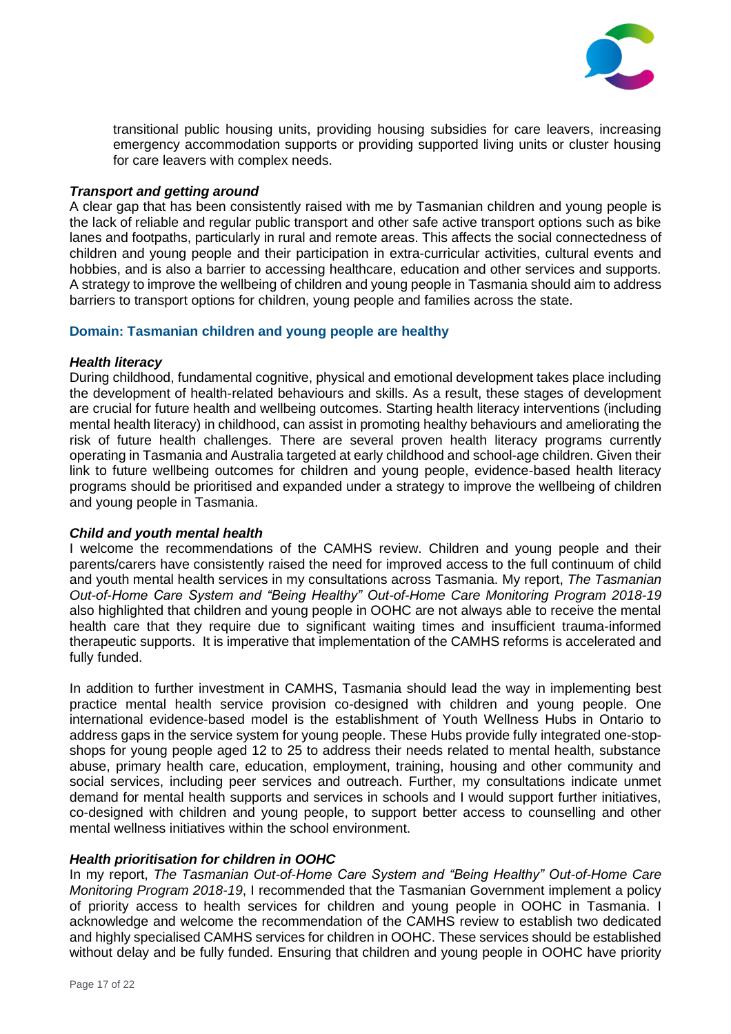

transitional public housing units, providing housing subsidies for care leavers, increasing emergency accommodation supports or providing supported living units or cluster housing for care leavers with complex needs.

## *Transport and getting around*

A clear gap that has been consistently raised with me by Tasmanian children and young people is the lack of reliable and regular public transport and other safe active transport options such as bike lanes and footpaths, particularly in rural and remote areas. This affects the social connectedness of children and young people and their participation in extra-curricular activities, cultural events and hobbies, and is also a barrier to accessing healthcare, education and other services and supports. A strategy to improve the wellbeing of children and young people in Tasmania should aim to address barriers to transport options for children, young people and families across the state.

## **Domain: Tasmanian children and young people are healthy**

## *Health literacy*

During childhood, fundamental cognitive, physical and emotional development takes place including the development of health-related behaviours and skills. As a result, these stages of development are crucial for future health and wellbeing outcomes. Starting health literacy interventions (including mental health literacy) in childhood, can assist in promoting healthy behaviours and ameliorating the risk of future health challenges. There are several proven health literacy programs currently operating in Tasmania and Australia targeted at early childhood and school-age children. Given their link to future wellbeing outcomes for children and young people, evidence-based health literacy programs should be prioritised and expanded under a strategy to improve the wellbeing of children and young people in Tasmania.

#### *Child and youth mental health*

I welcome the recommendations of the CAMHS review. Children and young people and their parents/carers have consistently raised the need for improved access to the full continuum of child and youth mental health services in my consultations across Tasmania. My report, *The Tasmanian Out-of-Home Care System and "Being Healthy" Out-of-Home Care Monitoring Program 2018-19* also highlighted that children and young people in OOHC are not always able to receive the mental health care that they require due to significant waiting times and insufficient trauma-informed therapeutic supports. It is imperative that implementation of the CAMHS reforms is accelerated and fully funded.

In addition to further investment in CAMHS, Tasmania should lead the way in implementing best practice mental health service provision co-designed with children and young people. One international evidence-based model is the establishment of Youth Wellness Hubs in Ontario to address gaps in the service system for young people. These Hubs provide fully integrated one-stopshops for young people aged 12 to 25 to address their needs related to mental health, substance abuse, primary health care, education, employment, training, housing and other community and social services, including peer services and outreach. Further, my consultations indicate unmet demand for mental health supports and services in schools and I would support further initiatives, co-designed with children and young people, to support better access to counselling and other mental wellness initiatives within the school environment.

# *Health prioritisation for children in OOHC*

In my report, *The Tasmanian Out-of-Home Care System and "Being Healthy" Out-of-Home Care Monitoring Program 2018-19*, I recommended that the Tasmanian Government implement a policy of priority access to health services for children and young people in OOHC in Tasmania. I acknowledge and welcome the recommendation of the CAMHS review to establish two dedicated and highly specialised CAMHS services for children in OOHC. These services should be established without delay and be fully funded. Ensuring that children and young people in OOHC have priority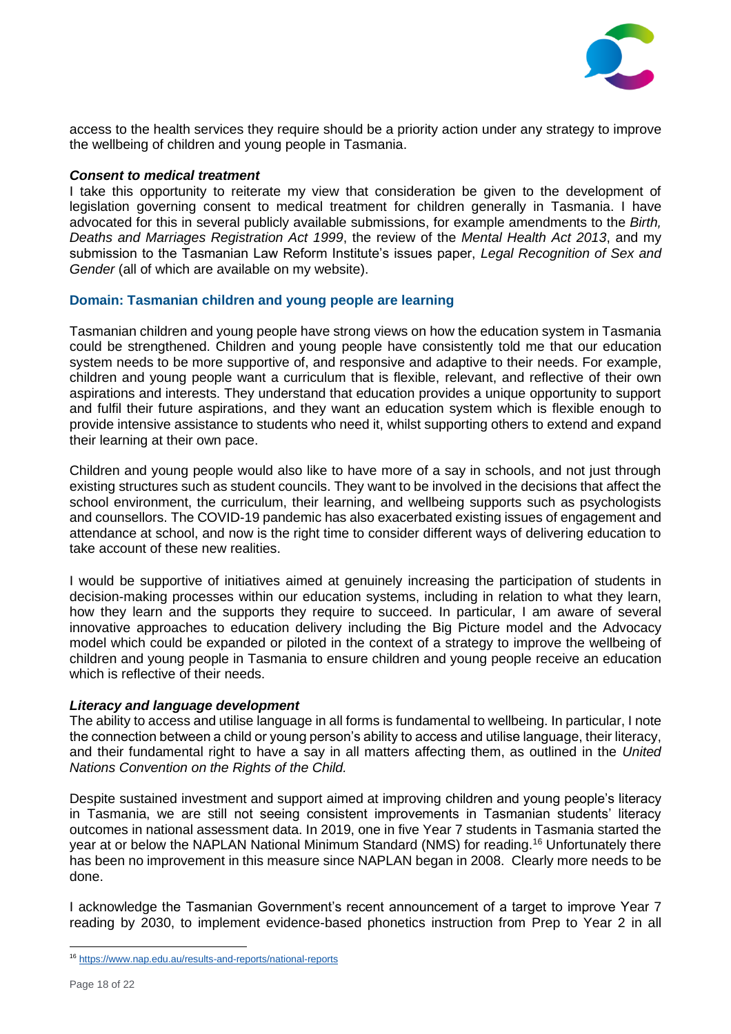

access to the health services they require should be a priority action under any strategy to improve the wellbeing of children and young people in Tasmania.

#### *Consent to medical treatment*

I take this opportunity to reiterate my view that consideration be given to the development of legislation governing consent to medical treatment for children generally in Tasmania. I have advocated for this in several publicly available submissions, for example amendments to the *Birth, Deaths and Marriages Registration Act 1999*, the review of the *Mental Health Act 2013*, and my submission to the Tasmanian Law Reform Institute's issues paper, *Legal Recognition of Sex and Gender* (all of which are available on my website).

## **Domain: Tasmanian children and young people are learning**

Tasmanian children and young people have strong views on how the education system in Tasmania could be strengthened. Children and young people have consistently told me that our education system needs to be more supportive of, and responsive and adaptive to their needs. For example, children and young people want a curriculum that is flexible, relevant, and reflective of their own aspirations and interests. They understand that education provides a unique opportunity to support and fulfil their future aspirations, and they want an education system which is flexible enough to provide intensive assistance to students who need it, whilst supporting others to extend and expand their learning at their own pace.

Children and young people would also like to have more of a say in schools, and not just through existing structures such as student councils. They want to be involved in the decisions that affect the school environment, the curriculum, their learning, and wellbeing supports such as psychologists and counsellors. The COVID-19 pandemic has also exacerbated existing issues of engagement and attendance at school, and now is the right time to consider different ways of delivering education to take account of these new realities.

I would be supportive of initiatives aimed at genuinely increasing the participation of students in decision-making processes within our education systems, including in relation to what they learn, how they learn and the supports they require to succeed. In particular, I am aware of several innovative approaches to education delivery including the Big Picture model and the Advocacy model which could be expanded or piloted in the context of a strategy to improve the wellbeing of children and young people in Tasmania to ensure children and young people receive an education which is reflective of their needs.

# *Literacy and language development*

The ability to access and utilise language in all forms is fundamental to wellbeing. In particular, I note the connection between a child or young person's ability to access and utilise language, their literacy, and their fundamental right to have a say in all matters affecting them, as outlined in the *United Nations Convention on the Rights of the Child.*

Despite sustained investment and support aimed at improving children and young people's literacy in Tasmania, we are still not seeing consistent improvements in Tasmanian students' literacy outcomes in national assessment data. In 2019, one in five Year 7 students in Tasmania started the year at or below the NAPLAN National Minimum Standard (NMS) for reading.<sup>16</sup> Unfortunately there has been no improvement in this measure since NAPLAN began in 2008. Clearly more needs to be done.

I acknowledge the Tasmanian Government's recent announcement of a target to improve Year 7 reading by 2030, to implement evidence-based phonetics instruction from Prep to Year 2 in all

<sup>16</sup> <https://www.nap.edu.au/results-and-reports/national-reports>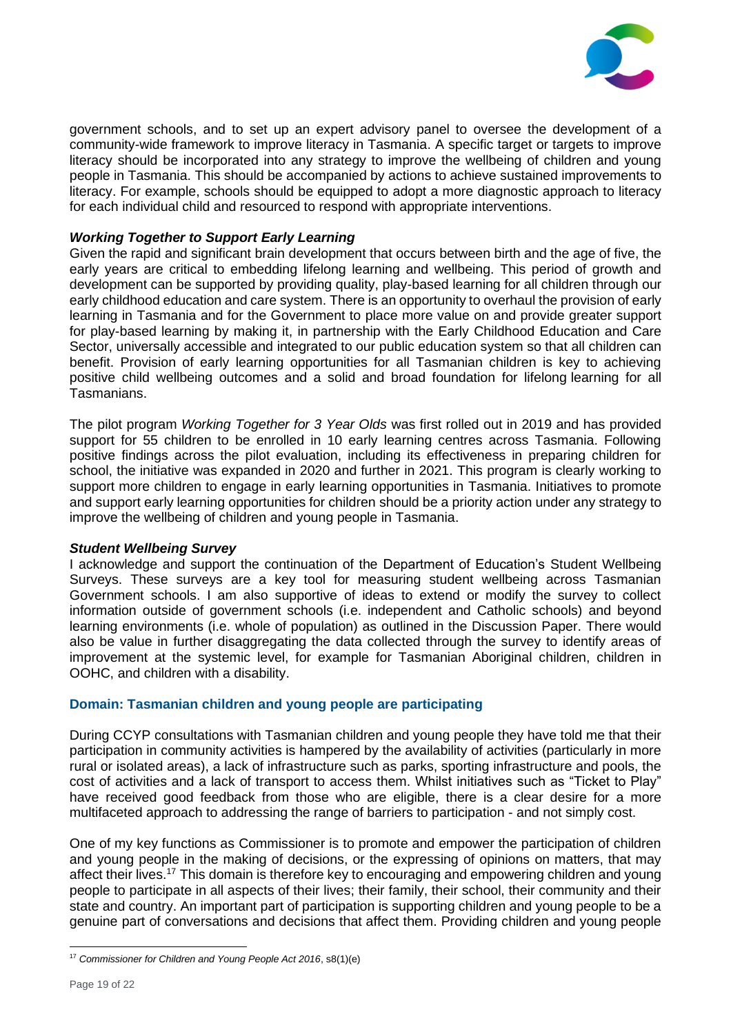

government schools, and to set up an expert advisory panel to oversee the development of a community-wide framework to improve literacy in Tasmania. A specific target or targets to improve literacy should be incorporated into any strategy to improve the wellbeing of children and young people in Tasmania. This should be accompanied by actions to achieve sustained improvements to literacy. For example, schools should be equipped to adopt a more diagnostic approach to literacy for each individual child and resourced to respond with appropriate interventions.

# *Working Together to Support Early Learning*

Given the rapid and significant brain development that occurs between birth and the age of five, the early years are critical to embedding lifelong learning and wellbeing. This period of growth and development can be supported by providing quality, play-based learning for all children through our early childhood education and care system. There is an opportunity to overhaul the provision of early learning in Tasmania and for the Government to place more value on and provide greater support for play-based learning by making it, in partnership with the Early Childhood Education and Care Sector, universally accessible and integrated to our public education system so that all children can benefit. Provision of early learning opportunities for all Tasmanian children is key to achieving positive child wellbeing outcomes and a solid and broad foundation for lifelong learning for all Tasmanians.

The pilot program *Working Together for 3 Year Olds* was first rolled out in 2019 and has provided support for 55 children to be enrolled in 10 early learning centres across Tasmania. Following positive findings across the pilot evaluation, including its effectiveness in preparing children for school, the initiative was expanded in 2020 and further in 2021. This program is clearly working to support more children to engage in early learning opportunities in Tasmania. Initiatives to promote and support early learning opportunities for children should be a priority action under any strategy to improve the wellbeing of children and young people in Tasmania.

# *Student Wellbeing Survey*

I acknowledge and support the continuation of the Department of Education's Student Wellbeing Surveys. These surveys are a key tool for measuring student wellbeing across Tasmanian Government schools. I am also supportive of ideas to extend or modify the survey to collect information outside of government schools (i.e. independent and Catholic schools) and beyond learning environments (i.e. whole of population) as outlined in the Discussion Paper. There would also be value in further disaggregating the data collected through the survey to identify areas of improvement at the systemic level, for example for Tasmanian Aboriginal children, children in OOHC, and children with a disability.

# **Domain: Tasmanian children and young people are participating**

During CCYP consultations with Tasmanian children and young people they have told me that their participation in community activities is hampered by the availability of activities (particularly in more rural or isolated areas), a lack of infrastructure such as parks, sporting infrastructure and pools, the cost of activities and a lack of transport to access them. Whilst initiatives such as "Ticket to Play" have received good feedback from those who are eligible, there is a clear desire for a more multifaceted approach to addressing the range of barriers to participation - and not simply cost.

One of my key functions as Commissioner is to promote and empower the participation of children and young people in the making of decisions, or the expressing of opinions on matters, that may affect their lives.<sup>17</sup> This domain is therefore key to encouraging and empowering children and young people to participate in all aspects of their lives; their family, their school, their community and their state and country. An important part of participation is supporting children and young people to be a genuine part of conversations and decisions that affect them. Providing children and young people

<sup>17</sup> *Commissioner for Children and Young People Act 2016*, s8(1)(e)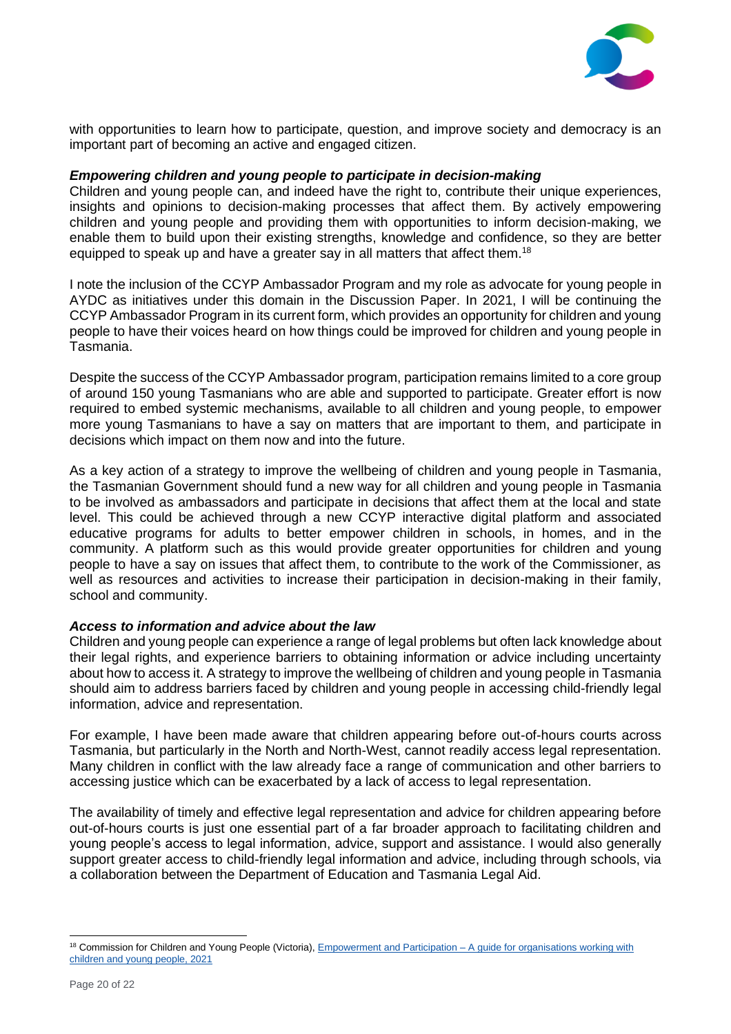

with opportunities to learn how to participate, question, and improve society and democracy is an important part of becoming an active and engaged citizen.

## *Empowering children and young people to participate in decision-making*

Children and young people can, and indeed have the right to, contribute their unique experiences, insights and opinions to decision-making processes that affect them. By actively empowering children and young people and providing them with opportunities to inform decision-making, we enable them to build upon their existing strengths, knowledge and confidence, so they are better equipped to speak up and have a greater say in all matters that affect them.<sup>18</sup>

I note the inclusion of the CCYP Ambassador Program and my role as advocate for young people in AYDC as initiatives under this domain in the Discussion Paper. In 2021, I will be continuing the CCYP Ambassador Program in its current form, which provides an opportunity for children and young people to have their voices heard on how things could be improved for children and young people in Tasmania.

Despite the success of the CCYP Ambassador program, participation remains limited to a core group of around 150 young Tasmanians who are able and supported to participate. Greater effort is now required to embed systemic mechanisms, available to all children and young people, to empower more young Tasmanians to have a say on matters that are important to them, and participate in decisions which impact on them now and into the future.

As a key action of a strategy to improve the wellbeing of children and young people in Tasmania, the Tasmanian Government should fund a new way for all children and young people in Tasmania to be involved as ambassadors and participate in decisions that affect them at the local and state level. This could be achieved through a new CCYP interactive digital platform and associated educative programs for adults to better empower children in schools, in homes, and in the community. A platform such as this would provide greater opportunities for children and young people to have a say on issues that affect them, to contribute to the work of the Commissioner, as well as resources and activities to increase their participation in decision-making in their family, school and community.

#### *Access to information and advice about the law*

Children and young people can experience a range of legal problems but often lack knowledge about their legal rights, and experience barriers to obtaining information or advice including uncertainty about how to access it. A strategy to improve the wellbeing of children and young people in Tasmania should aim to address barriers faced by children and young people in accessing child-friendly legal information, advice and representation.

For example, I have been made aware that children appearing before out-of-hours courts across Tasmania, but particularly in the North and North-West, cannot readily access legal representation. Many children in conflict with the law already face a range of communication and other barriers to accessing justice which can be exacerbated by a lack of access to legal representation.

The availability of timely and effective legal representation and advice for children appearing before out-of-hours courts is just one essential part of a far broader approach to facilitating children and young people's access to legal information, advice, support and assistance. I would also generally support greater access to child-friendly legal information and advice, including through schools, via a collaboration between the Department of Education and Tasmania Legal Aid.

<sup>18</sup> Commission for Children and Young People (Victoria), *Empowerment and Participation – A guide for organisations working with* [children and young people, 2021](https://ccyp.vic.gov.au/assets/resources/Empowerment-and-Participation-Guide/CCYP-Empowerment-and-participation-guide-for-Web.pdf)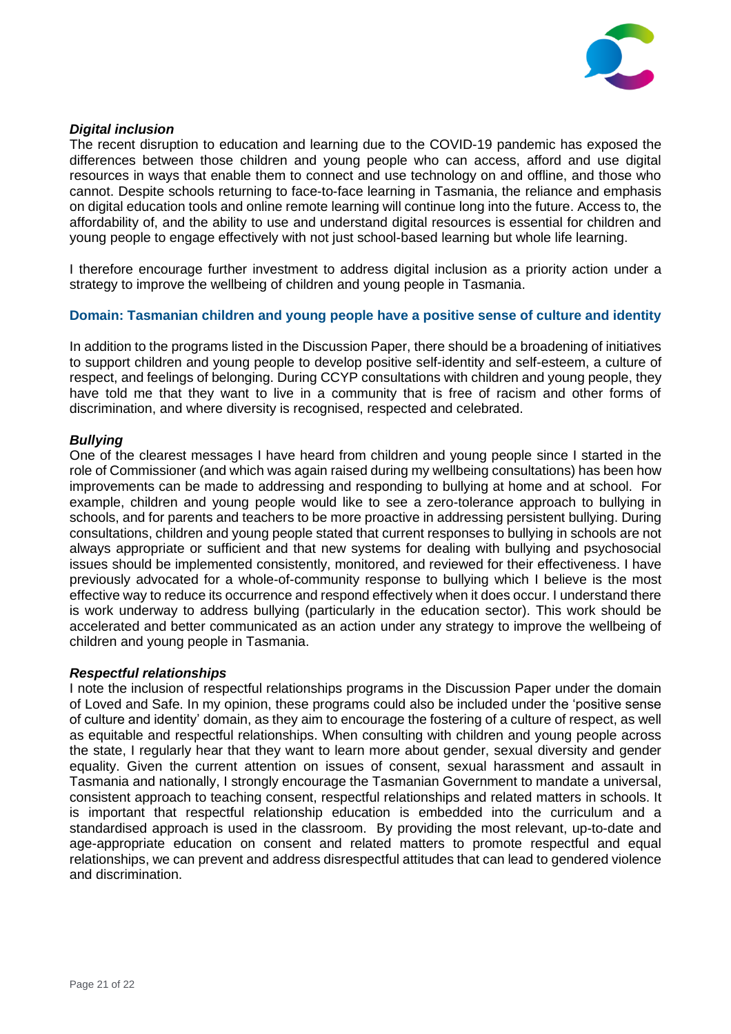

# *Digital inclusion*

The recent disruption to education and learning due to the COVID-19 pandemic has exposed the differences between those children and young people who can access, afford and use digital resources in ways that enable them to connect and use technology on and offline, and those who cannot. Despite schools returning to face-to-face learning in Tasmania, the reliance and emphasis on digital education tools and online remote learning will continue long into the future. Access to, the affordability of, and the ability to use and understand digital resources is essential for children and young people to engage effectively with not just school-based learning but whole life learning.

I therefore encourage further investment to address digital inclusion as a priority action under a strategy to improve the wellbeing of children and young people in Tasmania.

# **Domain: Tasmanian children and young people have a positive sense of culture and identity**

In addition to the programs listed in the Discussion Paper, there should be a broadening of initiatives to support children and young people to develop positive self-identity and self-esteem, a culture of respect, and feelings of belonging. During CCYP consultations with children and young people, they have told me that they want to live in a community that is free of racism and other forms of discrimination, and where diversity is recognised, respected and celebrated.

## *Bullying*

One of the clearest messages I have heard from children and young people since I started in the role of Commissioner (and which was again raised during my wellbeing consultations) has been how improvements can be made to addressing and responding to bullying at home and at school. For example, children and young people would like to see a zero-tolerance approach to bullying in schools, and for parents and teachers to be more proactive in addressing persistent bullying. During consultations, children and young people stated that current responses to bullying in schools are not always appropriate or sufficient and that new systems for dealing with bullying and psychosocial issues should be implemented consistently, monitored, and reviewed for their effectiveness. I have previously advocated for a whole-of-community response to bullying which I believe is the most effective way to reduce its occurrence and respond effectively when it does occur. I understand there is work underway to address bullying (particularly in the education sector). This work should be accelerated and better communicated as an action under any strategy to improve the wellbeing of children and young people in Tasmania.

#### *Respectful relationships*

I note the inclusion of respectful relationships programs in the Discussion Paper under the domain of Loved and Safe. In my opinion, these programs could also be included under the 'positive sense of culture and identity' domain, as they aim to encourage the fostering of a culture of respect, as well as equitable and respectful relationships. When consulting with children and young people across the state, I regularly hear that they want to learn more about gender, sexual diversity and gender equality. Given the current attention on issues of consent, sexual harassment and assault in Tasmania and nationally, I strongly encourage the Tasmanian Government to mandate a universal, consistent approach to teaching consent, respectful relationships and related matters in schools. It is important that respectful relationship education is embedded into the curriculum and a standardised approach is used in the classroom. By providing the most relevant, up-to-date and age-appropriate education on consent and related matters to promote respectful and equal relationships, we can prevent and address disrespectful attitudes that can lead to gendered violence and discrimination.